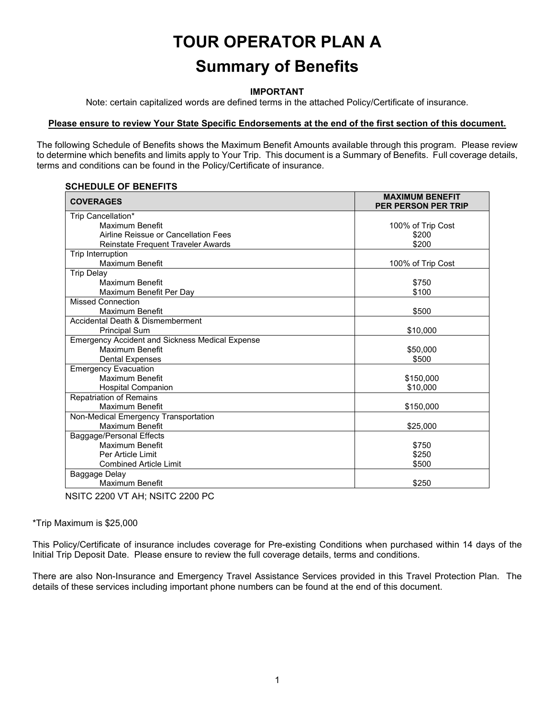# **TOUR OPERATOR PLAN A Summary of Benefits**

### **IMPORTANT**

Note: certain capitalized words are defined terms in the attached Policy/Certificate of insurance.

# **Please ensure to review Your State Specific Endorsements at the end of the first section of this document.**

The following Schedule of Benefits shows the Maximum Benefit Amounts available through this program. Please review to determine which benefits and limits apply to Your Trip. This document is a Summary of Benefits. Full coverage details, terms and conditions can be found in the Policy/Certificate of insurance.

# **SCHEDULE OF BENEFITS**

| <b>COVERAGES</b>                                       | <b>MAXIMUM BENEFIT</b><br><b>PER PERSON PER TRIP</b> |
|--------------------------------------------------------|------------------------------------------------------|
| Trip Cancellation*                                     |                                                      |
| Maximum Benefit                                        | 100% of Trip Cost                                    |
| Airline Reissue or Cancellation Fees                   | \$200                                                |
| Reinstate Frequent Traveler Awards                     | \$200                                                |
| Trip Interruption                                      |                                                      |
| Maximum Benefit                                        | 100% of Trip Cost                                    |
| <b>Trip Delay</b>                                      |                                                      |
| Maximum Benefit                                        | \$750                                                |
| Maximum Benefit Per Day                                | \$100                                                |
| <b>Missed Connection</b>                               |                                                      |
| Maximum Benefit                                        | \$500                                                |
| Accidental Death & Dismemberment                       |                                                      |
| <b>Principal Sum</b>                                   | \$10,000                                             |
| <b>Emergency Accident and Sickness Medical Expense</b> |                                                      |
| Maximum Benefit                                        | \$50,000                                             |
| <b>Dental Expenses</b>                                 | \$500                                                |
| <b>Emergency Evacuation</b>                            |                                                      |
| <b>Maximum Benefit</b>                                 | \$150,000                                            |
| <b>Hospital Companion</b>                              | \$10,000                                             |
| <b>Repatriation of Remains</b>                         |                                                      |
| Maximum Benefit                                        | \$150,000                                            |
| Non-Medical Emergency Transportation                   |                                                      |
| Maximum Benefit                                        | \$25,000                                             |
| Baggage/Personal Effects                               |                                                      |
| Maximum Benefit                                        | \$750                                                |
| Per Article Limit                                      | \$250                                                |
| <b>Combined Article Limit</b>                          | \$500                                                |
| Baggage Delay                                          |                                                      |
| Maximum Benefit                                        | \$250                                                |

NSITC 2200 VT AH; NSITC 2200 PC

\*Trip Maximum is \$25,000

This Policy/Certificate of insurance includes coverage for Pre-existing Conditions when purchased within 14 days of the Initial Trip Deposit Date. Please ensure to review the full coverage details, terms and conditions.

There are also Non-Insurance and Emergency Travel Assistance Services provided in this Travel Protection Plan. The details of these services including important phone numbers can be found at the end of this document.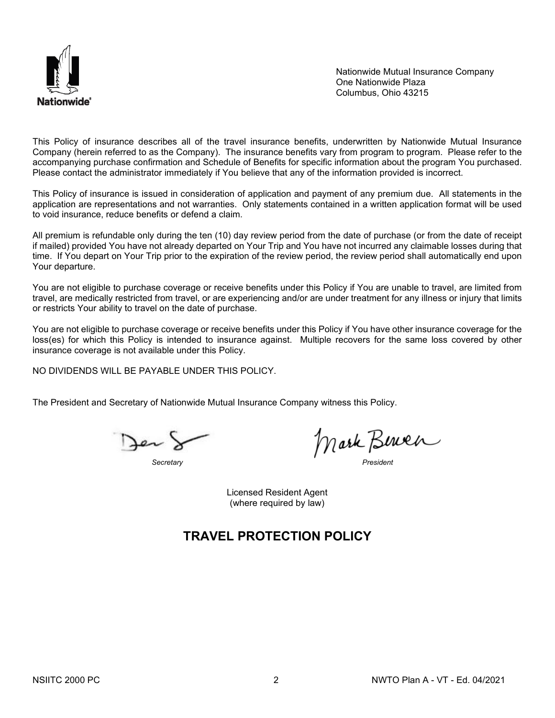

Nationwide Mutual Insurance Company One Nationwide Plaza Columbus, Ohio 43215

This Policy of insurance describes all of the travel insurance benefits, underwritten by Nationwide Mutual Insurance Company (herein referred to as the Company). The insurance benefits vary from program to program. Please refer to the accompanying purchase confirmation and Schedule of Benefits for specific information about the program You purchased. Please contact the administrator immediately if You believe that any of the information provided is incorrect.

This Policy of insurance is issued in consideration of application and payment of any premium due. All statements in the application are representations and not warranties. Only statements contained in a written application format will be used to void insurance, reduce benefits or defend a claim.

All premium is refundable only during the ten (10) day review period from the date of purchase (or from the date of receipt if mailed) provided You have not already departed on Your Trip and You have not incurred any claimable losses during that time. If You depart on Your Trip prior to the expiration of the review period, the review period shall automatically end upon Your departure.

You are not eligible to purchase coverage or receive benefits under this Policy if You are unable to travel, are limited from travel, are medically restricted from travel, or are experiencing and/or are under treatment for any illness or injury that limits or restricts Your ability to travel on the date of purchase.

You are not eligible to purchase coverage or receive benefits under this Policy if You have other insurance coverage for the loss(es) for which this Policy is intended to insurance against. Multiple recovers for the same loss covered by other insurance coverage is not available under this Policy.

NO DIVIDENDS WILL BE PAYABLE UNDER THIS POLICY.

The President and Secretary of Nationwide Mutual Insurance Company witness this Policy.

Jer!

*Secretary President*

Licensed Resident Agent (where required by law)

# **TRAVEL PROTECTION POLICY**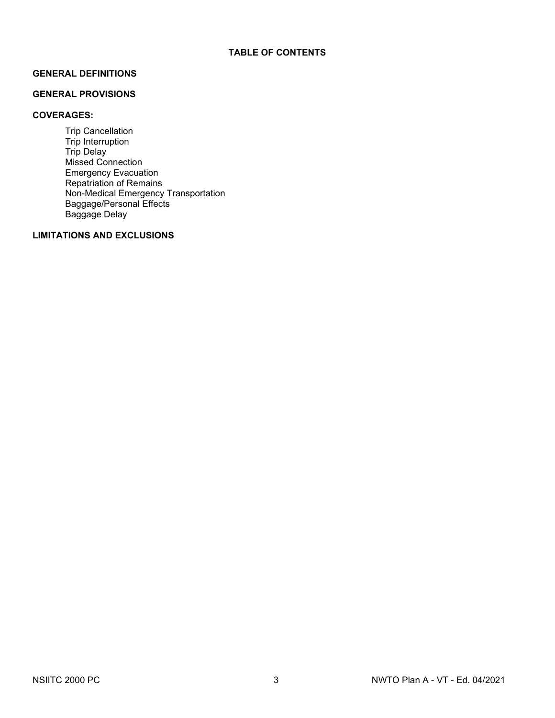# **GENERAL DEFINITIONS**

# **GENERAL PROVISIONS**

# **COVERAGES:**

Trip Cancellation Trip Interruption Trip Delay Missed Connection Emergency Evacuation Repatriation of Remains Non-Medical Emergency Transportation Baggage/Personal Effects Baggage Delay

# **LIMITATIONS AND EXCLUSIONS**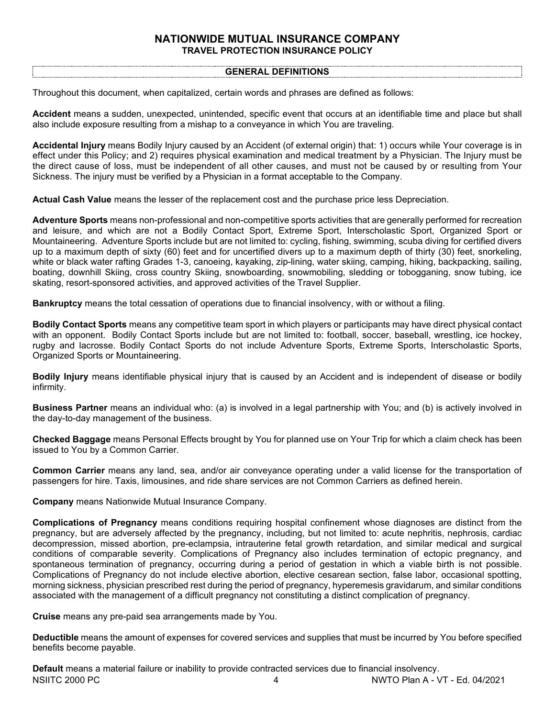# **NATIONWIDE MUTUAL INSURANCE COMPANY TRAVEL PROTECTION INSURANCE POLICY**

### **GENERAL DEFINITIONS**

Throughout this document, when capitalized, certain words and phrases are defined as follows:

**Accident** means a sudden, unexpected, unintended, specific event that occurs at an identifiable time and place but shall also include exposure resulting from a mishap to a conveyance in which You are traveling.

**Accidental Injury** means Bodily Injury caused by an Accident (of external origin) that: 1) occurs while Your coverage is in effect under this Policy; and 2) requires physical examination and medical treatment by a Physician. The Injury must be the direct cause of loss, must be independent of all other causes, and must not be caused by or resulting from Your Sickness. The injury must be verified by a Physician in a format acceptable to the Company.

**Actual Cash Value** means the lesser of the replacement cost and the purchase price less Depreciation.

**Adventure Sports** means non-professional and non-competitive sports activities that are generally performed for recreation and leisure, and which are not a Bodily Contact Sport, Extreme Sport, Interscholastic Sport, Organized Sport or Mountaineering. Adventure Sports include but are not limited to: cycling, fishing, swimming, scuba diving for certified divers up to a maximum depth of sixty (60) feet and for uncertified divers up to a maximum depth of thirty (30) feet, snorkeling, white or black water rafting Grades 1-3, canoeing, kayaking, zip-lining, water skiing, camping, hiking, backpacking, sailing, boating, downhill Skiing, cross country Skiing, snowboarding, snowmobiling, sledding or tobogganing, snow tubing, ice skating, resort-sponsored activities, and approved activities of the Travel Supplier.

**Bankruptcy** means the total cessation of operations due to financial insolvency, with or without a filing.

**Bodily Contact Sports** means any competitive team sport in which players or participants may have direct physical contact with an opponent. Bodily Contact Sports include but are not limited to: football, soccer, baseball, wrestling, ice hockey, rugby and lacrosse. Bodily Contact Sports do not include Adventure Sports, Extreme Sports, Interscholastic Sports, Organized Sports or Mountaineering.

**Bodily Injury** means identifiable physical injury that is caused by an Accident and is independent of disease or bodily infirmity.

**Business Partner** means an individual who: (a) is involved in a legal partnership with You; and (b) is actively involved in the day-to-day management of the business.

**Checked Baggage** means Personal Effects brought by You for planned use on Your Trip for which a claim check has been issued to You by a Common Carrier.

**Common Carrier** means any land, sea, and/or air conveyance operating under a valid license for the transportation of passengers for hire. Taxis, limousines, and ride share services are not Common Carriers as defined herein.

**Company** means Nationwide Mutual Insurance Company.

**Complications of Pregnancy** means conditions requiring hospital confinement whose diagnoses are distinct from the pregnancy, but are adversely affected by the pregnancy, including, but not limited to: acute nephritis, nephrosis, cardiac decompression, missed abortion, pre-eclampsia, intrauterine fetal growth retardation, and similar medical and surgical conditions of comparable severity. Complications of Pregnancy also includes termination of ectopic pregnancy, and spontaneous termination of pregnancy, occurring during a period of gestation in which a viable birth is not possible. Complications of Pregnancy do not include elective abortion, elective cesarean section, false labor, occasional spotting, morning sickness, physician prescribed rest during the period of pregnancy, hyperemesis gravidarum, and similar conditions associated with the management of a difficult pregnancy not constituting a distinct complication of pregnancy.

**Cruise** means any pre-paid sea arrangements made by You.

**Deductible** means the amount of expenses for covered services and supplies that must be incurred by You before specified benefits become payable.

NSIITC 2000 PC 4 NWTO Plan A - VT - Ed. 04/2021 **Default** means a material failure or inability to provide contracted services due to financial insolvency.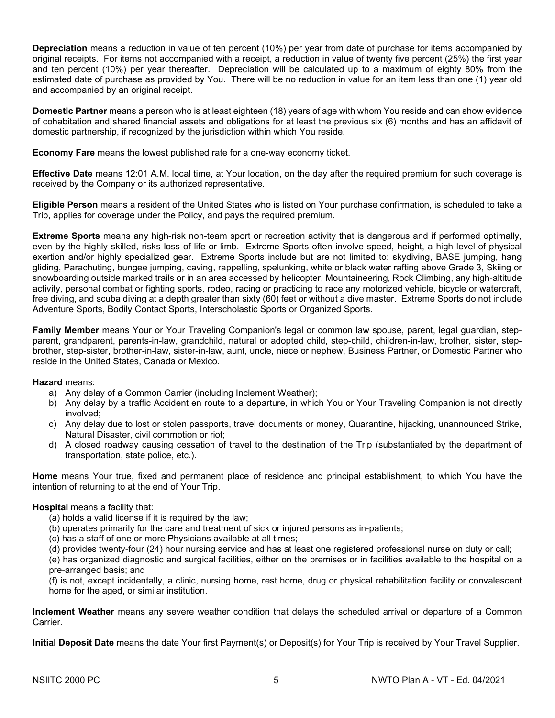**Depreciation** means a reduction in value of ten percent (10%) per year from date of purchase for items accompanied by original receipts. For items not accompanied with a receipt, a reduction in value of twenty five percent (25%) the first year and ten percent (10%) per year thereafter. Depreciation will be calculated up to a maximum of eighty 80% from the estimated date of purchase as provided by You. There will be no reduction in value for an item less than one (1) year old and accompanied by an original receipt.

**Domestic Partner** means a person who is at least eighteen (18) years of age with whom You reside and can show evidence of cohabitation and shared financial assets and obligations for at least the previous six (6) months and has an affidavit of domestic partnership, if recognized by the jurisdiction within which You reside.

**Economy Fare** means the lowest published rate for a one-way economy ticket.

**Effective Date** means 12:01 A.M. local time, at Your location, on the day after the required premium for such coverage is received by the Company or its authorized representative.

**Eligible Person** means a resident of the United States who is listed on Your purchase confirmation, is scheduled to take a Trip, applies for coverage under the Policy, and pays the required premium.

**Extreme Sports** means any high-risk non-team sport or recreation activity that is dangerous and if performed optimally, even by the highly skilled, risks loss of life or limb. Extreme Sports often involve speed, height, a high level of physical exertion and/or highly specialized gear. Extreme Sports include but are not limited to: skydiving, BASE jumping, hang gliding, Parachuting, bungee jumping, caving, rappelling, spelunking, white or black water rafting above Grade 3, Skiing or snowboarding outside marked trails or in an area accessed by helicopter, Mountaineering, Rock Climbing, any high‐altitude activity, personal combat or fighting sports, rodeo, racing or practicing to race any motorized vehicle, bicycle or watercraft, free diving, and scuba diving at a depth greater than sixty (60) feet or without a dive master. Extreme Sports do not include Adventure Sports, Bodily Contact Sports, Interscholastic Sports or Organized Sports.

**Family Member** means Your or Your Traveling Companion's legal or common law spouse, parent, legal guardian, stepparent, grandparent, parents-in-law, grandchild, natural or adopted child, step-child, children-in-law, brother, sister, stepbrother, step-sister, brother-in-law, sister-in-law, aunt, uncle, niece or nephew, Business Partner, or Domestic Partner who reside in the United States, Canada or Mexico.

# **Hazard** means:

- a) Any delay of a Common Carrier (including Inclement Weather);
- b) Any delay by a traffic Accident en route to a departure, in which You or Your Traveling Companion is not directly involved;
- c) Any delay due to lost or stolen passports, travel documents or money, Quarantine, hijacking, unannounced Strike, Natural Disaster, civil commotion or riot;
- d) A closed roadway causing cessation of travel to the destination of the Trip (substantiated by the department of transportation, state police, etc.).

**Home** means Your true, fixed and permanent place of residence and principal establishment, to which You have the intention of returning to at the end of Your Trip.

# **Hospital** means a facility that:

- (a) holds a valid license if it is required by the law;
- (b) operates primarily for the care and treatment of sick or injured persons as in-patients;
- (c) has a staff of one or more Physicians available at all times;
- (d) provides twenty-four (24) hour nursing service and has at least one registered professional nurse on duty or call;

(e) has organized diagnostic and surgical facilities, either on the premises or in facilities available to the hospital on a pre-arranged basis; and

(f) is not, except incidentally, a clinic, nursing home, rest home, drug or physical rehabilitation facility or convalescent home for the aged, or similar institution.

**Inclement Weather** means any severe weather condition that delays the scheduled arrival or departure of a Common Carrier.

**Initial Deposit Date** means the date Your first Payment(s) or Deposit(s) for Your Trip is received by Your Travel Supplier.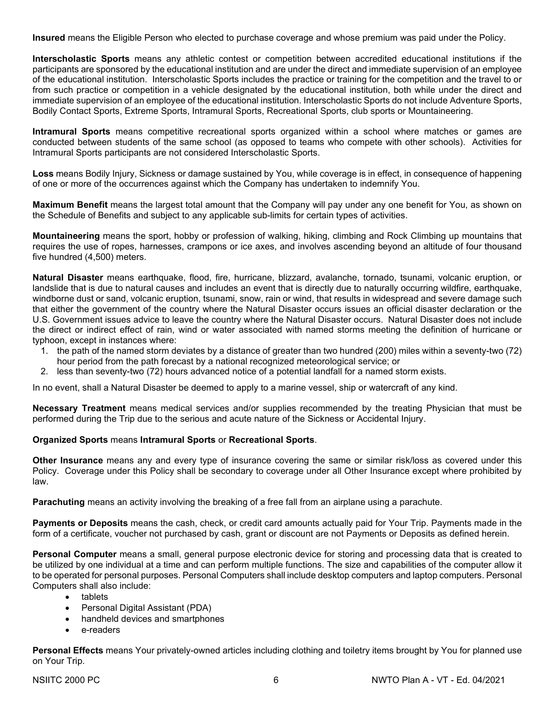**Insured** means the Eligible Person who elected to purchase coverage and whose premium was paid under the Policy.

**Interscholastic Sports** means any athletic contest or competition between accredited educational institutions if the participants are sponsored by the educational institution and are under the direct and immediate supervision of an employee of the educational institution. Interscholastic Sports includes the practice or training for the competition and the travel to or from such practice or competition in a vehicle designated by the educational institution, both while under the direct and immediate supervision of an employee of the educational institution. Interscholastic Sports do not include Adventure Sports, Bodily Contact Sports, Extreme Sports, Intramural Sports, Recreational Sports, club sports or Mountaineering.

**Intramural Sports** means competitive recreational sports organized within a school where matches or games are conducted between students of the same school (as opposed to teams who compete with other schools). Activities for Intramural Sports participants are not considered Interscholastic Sports.

**Loss** means Bodily Injury, Sickness or damage sustained by You, while coverage is in effect, in consequence of happening of one or more of the occurrences against which the Company has undertaken to indemnify You.

**Maximum Benefit** means the largest total amount that the Company will pay under any one benefit for You, as shown on the Schedule of Benefits and subject to any applicable sub-limits for certain types of activities.

**Mountaineering** means the sport, hobby or profession of walking, hiking, climbing and Rock Climbing up mountains that requires the use of ropes, harnesses, crampons or ice axes, and involves ascending beyond an altitude of four thousand five hundred (4,500) meters.

**Natural Disaster** means earthquake, flood, fire, hurricane, blizzard, avalanche, tornado, tsunami, volcanic eruption, or landslide that is due to natural causes and includes an event that is directly due to naturally occurring wildfire, earthquake, windborne dust or sand, volcanic eruption, tsunami, snow, rain or wind, that results in widespread and severe damage such that either the government of the country where the Natural Disaster occurs issues an official disaster declaration or the U.S. Government issues advice to leave the country where the Natural Disaster occurs. Natural Disaster does not include the direct or indirect effect of rain, wind or water associated with named storms meeting the definition of hurricane or typhoon, except in instances where:

- 1. the path of the named storm deviates by a distance of greater than two hundred (200) miles within a seventy-two (72) hour period from the path forecast by a national recognized meteorological service; or
- 2. less than seventy-two (72) hours advanced notice of a potential landfall for a named storm exists.

In no event, shall a Natural Disaster be deemed to apply to a marine vessel, ship or watercraft of any kind.

**Necessary Treatment** means medical services and/or supplies recommended by the treating Physician that must be performed during the Trip due to the serious and acute nature of the Sickness or Accidental Injury.

### **Organized Sports** means **Intramural Sports** or **Recreational Sports**.

**Other Insurance** means any and every type of insurance covering the same or similar risk/loss as covered under this Policy. Coverage under this Policy shall be secondary to coverage under all Other Insurance except where prohibited by law.

**Parachuting** means an activity involving the breaking of a free fall from an airplane using a parachute.

**Payments or Deposits** means the cash, check, or credit card amounts actually paid for Your Trip. Payments made in the form of a certificate, voucher not purchased by cash, grant or discount are not Payments or Deposits as defined herein.

**Personal Computer** means a small, general purpose electronic device for storing and processing data that is created to be utilized by one individual at a time and can perform multiple functions. The size and capabilities of the computer allow it to be operated for personal purposes. Personal Computers shall include desktop computers and laptop computers. Personal Computers shall also include:

- tablets
- Personal Digital Assistant (PDA)
- handheld devices and smartphones
- e-readers

**Personal Effects** means Your privately-owned articles including clothing and toiletry items brought by You for planned use on Your Trip.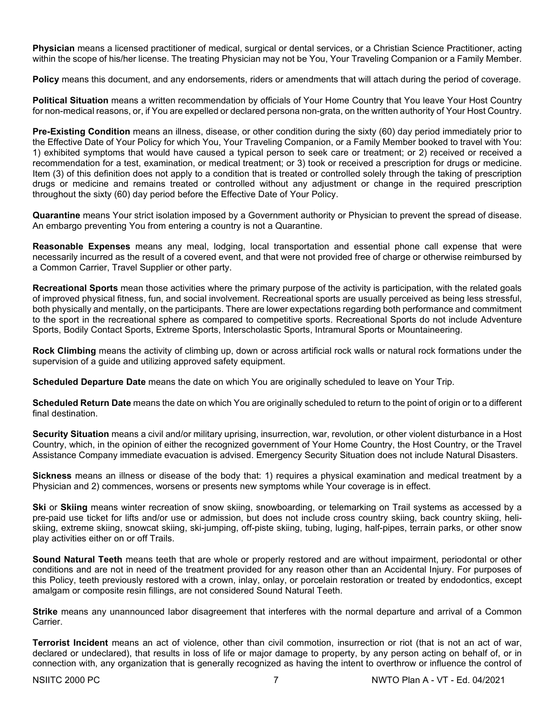**Physician** means a licensed practitioner of medical, surgical or dental services, or a Christian Science Practitioner, acting within the scope of his/her license. The treating Physician may not be You, Your Traveling Companion or a Family Member.

**Policy** means this document, and any endorsements, riders or amendments that will attach during the period of coverage.

**Political Situation** means a written recommendation by officials of Your Home Country that You leave Your Host Country for non-medical reasons, or, if You are expelled or declared persona non-grata, on the written authority of Your Host Country.

**Pre-Existing Condition** means an illness, disease, or other condition during the sixty (60) day period immediately prior to the Effective Date of Your Policy for which You, Your Traveling Companion, or a Family Member booked to travel with You: 1) exhibited symptoms that would have caused a typical person to seek care or treatment; or 2) received or received a recommendation for a test, examination, or medical treatment; or 3) took or received a prescription for drugs or medicine. Item (3) of this definition does not apply to a condition that is treated or controlled solely through the taking of prescription drugs or medicine and remains treated or controlled without any adjustment or change in the required prescription throughout the sixty (60) day period before the Effective Date of Your Policy.

**Quarantine** means Your strict isolation imposed by a Government authority or Physician to prevent the spread of disease. An embargo preventing You from entering a country is not a Quarantine.

**Reasonable Expenses** means any meal, lodging, local transportation and essential phone call expense that were necessarily incurred as the result of a covered event, and that were not provided free of charge or otherwise reimbursed by a Common Carrier, Travel Supplier or other party.

**Recreational Sports** mean those activities where the primary purpose of the activity is participation, with the related goals of improved physical fitness, fun, and social involvement. Recreational sports are usually perceived as being less stressful, both physically and mentally, on the participants. There are lower expectations regarding both performance and commitment to the sport in the recreational sphere as compared to competitive sports. Recreational Sports do not include Adventure Sports, Bodily Contact Sports, Extreme Sports, Interscholastic Sports, Intramural Sports or Mountaineering.

**Rock Climbing** means the activity of climbing up, down or across artificial rock walls or natural rock formations under the supervision of a guide and utilizing approved safety equipment.

**Scheduled Departure Date** means the date on which You are originally scheduled to leave on Your Trip.

**Scheduled Return Date** means the date on which You are originally scheduled to return to the point of origin or to a different final destination.

**Security Situation** means a civil and/or military uprising, insurrection, war, revolution, or other violent disturbance in a Host Country, which, in the opinion of either the recognized government of Your Home Country, the Host Country, or the Travel Assistance Company immediate evacuation is advised. Emergency Security Situation does not include Natural Disasters.

**Sickness** means an illness or disease of the body that: 1) requires a physical examination and medical treatment by a Physician and 2) commences, worsens or presents new symptoms while Your coverage is in effect.

**Ski** or **Skiing** means winter recreation of snow skiing, snowboarding, or telemarking on Trail systems as accessed by a pre-paid use ticket for lifts and/or use or admission, but does not include cross country skiing, back country skiing, heliskiing, extreme skiing, snowcat skiing, ski-jumping, off-piste skiing, tubing, luging, half-pipes, terrain parks, or other snow play activities either on or off Trails.

**Sound Natural Teeth** means teeth that are whole or properly restored and are without impairment, periodontal or other conditions and are not in need of the treatment provided for any reason other than an Accidental Injury. For purposes of this Policy, teeth previously restored with a crown, inlay, onlay, or porcelain restoration or treated by endodontics, except amalgam or composite resin fillings, are not considered Sound Natural Teeth.

**Strike** means any unannounced labor disagreement that interferes with the normal departure and arrival of a Common Carrier.

**Terrorist Incident** means an act of violence, other than civil commotion, insurrection or riot (that is not an act of war, declared or undeclared), that results in loss of life or major damage to property, by any person acting on behalf of, or in connection with, any organization that is generally recognized as having the intent to overthrow or influence the control of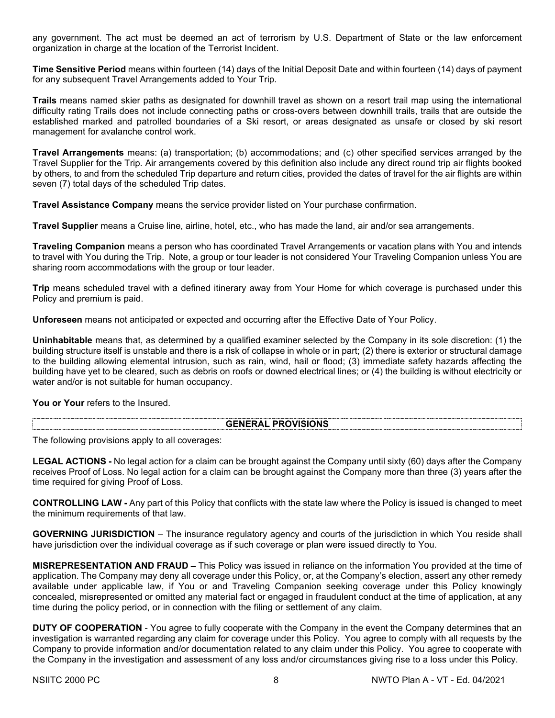any government. The act must be deemed an act of terrorism by U.S. Department of State or the law enforcement organization in charge at the location of the Terrorist Incident.

**Time Sensitive Period** means within fourteen (14) days of the Initial Deposit Date and within fourteen (14) days of payment for any subsequent Travel Arrangements added to Your Trip.

**Trails** means named skier paths as designated for downhill travel as shown on a resort trail map using the international difficulty rating Trails does not include connecting paths or cross-overs between downhill trails, trails that are outside the established marked and patrolled boundaries of a Ski resort, or areas designated as unsafe or closed by ski resort management for avalanche control work.

**Travel Arrangements** means: (a) transportation; (b) accommodations; and (c) other specified services arranged by the Travel Supplier for the Trip. Air arrangements covered by this definition also include any direct round trip air flights booked by others, to and from the scheduled Trip departure and return cities, provided the dates of travel for the air flights are within seven (7) total days of the scheduled Trip dates.

**Travel Assistance Company** means the service provider listed on Your purchase confirmation.

**Travel Supplier** means a Cruise line, airline, hotel, etc., who has made the land, air and/or sea arrangements.

**Traveling Companion** means a person who has coordinated Travel Arrangements or vacation plans with You and intends to travel with You during the Trip. Note, a group or tour leader is not considered Your Traveling Companion unless You are sharing room accommodations with the group or tour leader.

**Trip** means scheduled travel with a defined itinerary away from Your Home for which coverage is purchased under this Policy and premium is paid.

**Unforeseen** means not anticipated or expected and occurring after the Effective Date of Your Policy.

**Uninhabitable** means that, as determined by a qualified examiner selected by the Company in its sole discretion: (1) the building structure itself is unstable and there is a risk of collapse in whole or in part; (2) there is exterior or structural damage to the building allowing elemental intrusion, such as rain, wind, hail or flood; (3) immediate safety hazards affecting the building have yet to be cleared, such as debris on roofs or downed electrical lines; or (4) the building is without electricity or water and/or is not suitable for human occupancy.

**You or Your** refers to the Insured.

# **GENERAL PROVISIONS**

The following provisions apply to all coverages:

**LEGAL ACTIONS -** No legal action for a claim can be brought against the Company until sixty (60) days after the Company receives Proof of Loss. No legal action for a claim can be brought against the Company more than three (3) years after the time required for giving Proof of Loss.

**CONTROLLING LAW -** Any part of this Policy that conflicts with the state law where the Policy is issued is changed to meet the minimum requirements of that law.

**GOVERNING JURISDICTION** – The insurance regulatory agency and courts of the jurisdiction in which You reside shall have jurisdiction over the individual coverage as if such coverage or plan were issued directly to You.

**MISREPRESENTATION AND FRAUD –** This Policy was issued in reliance on the information You provided at the time of application. The Company may deny all coverage under this Policy, or, at the Company's election, assert any other remedy available under applicable law, if You or and Traveling Companion seeking coverage under this Policy knowingly concealed, misrepresented or omitted any material fact or engaged in fraudulent conduct at the time of application, at any time during the policy period, or in connection with the filing or settlement of any claim.

**DUTY OF COOPERATION** - You agree to fully cooperate with the Company in the event the Company determines that an investigation is warranted regarding any claim for coverage under this Policy. You agree to comply with all requests by the Company to provide information and/or documentation related to any claim under this Policy. You agree to cooperate with the Company in the investigation and assessment of any loss and/or circumstances giving rise to a loss under this Policy.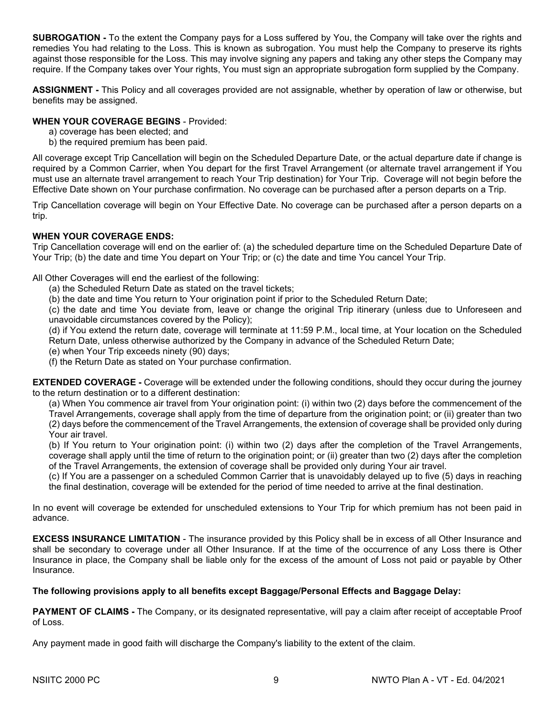**SUBROGATION -** To the extent the Company pays for a Loss suffered by You, the Company will take over the rights and remedies You had relating to the Loss. This is known as subrogation. You must help the Company to preserve its rights against those responsible for the Loss. This may involve signing any papers and taking any other steps the Company may require. If the Company takes over Your rights, You must sign an appropriate subrogation form supplied by the Company.

**ASSIGNMENT -** This Policy and all coverages provided are not assignable, whether by operation of law or otherwise, but benefits may be assigned.

# **WHEN YOUR COVERAGE BEGINS** - Provided:

- a) coverage has been elected; and
- b) the required premium has been paid.

All coverage except Trip Cancellation will begin on the Scheduled Departure Date, or the actual departure date if change is required by a Common Carrier, when You depart for the first Travel Arrangement (or alternate travel arrangement if You must use an alternate travel arrangement to reach Your Trip destination) for Your Trip. Coverage will not begin before the Effective Date shown on Your purchase confirmation. No coverage can be purchased after a person departs on a Trip.

Trip Cancellation coverage will begin on Your Effective Date. No coverage can be purchased after a person departs on a trip.

# **WHEN YOUR COVERAGE ENDS:**

Trip Cancellation coverage will end on the earlier of: (a) the scheduled departure time on the Scheduled Departure Date of Your Trip; (b) the date and time You depart on Your Trip; or (c) the date and time You cancel Your Trip.

All Other Coverages will end the earliest of the following:

- (a) the Scheduled Return Date as stated on the travel tickets;
- (b) the date and time You return to Your origination point if prior to the Scheduled Return Date;

(c) the date and time You deviate from, leave or change the original Trip itinerary (unless due to Unforeseen and unavoidable circumstances covered by the Policy);

(d) if You extend the return date, coverage will terminate at 11:59 P.M., local time, at Your location on the Scheduled Return Date, unless otherwise authorized by the Company in advance of the Scheduled Return Date;

- (e) when Your Trip exceeds ninety (90) days;
- (f) the Return Date as stated on Your purchase confirmation.

**EXTENDED COVERAGE -** Coverage will be extended under the following conditions, should they occur during the journey to the return destination or to a different destination:

(a) When You commence air travel from Your origination point: (i) within two (2) days before the commencement of the Travel Arrangements, coverage shall apply from the time of departure from the origination point; or (ii) greater than two (2) days before the commencement of the Travel Arrangements, the extension of coverage shall be provided only during Your air travel.

(b) If You return to Your origination point: (i) within two (2) days after the completion of the Travel Arrangements, coverage shall apply until the time of return to the origination point; or (ii) greater than two (2) days after the completion of the Travel Arrangements, the extension of coverage shall be provided only during Your air travel.

(c) If You are a passenger on a scheduled Common Carrier that is unavoidably delayed up to five (5) days in reaching the final destination, coverage will be extended for the period of time needed to arrive at the final destination.

In no event will coverage be extended for unscheduled extensions to Your Trip for which premium has not been paid in advance.

**EXCESS INSURANCE LIMITATION** - The insurance provided by this Policy shall be in excess of all Other Insurance and shall be secondary to coverage under all Other Insurance. If at the time of the occurrence of any Loss there is Other Insurance in place, the Company shall be liable only for the excess of the amount of Loss not paid or payable by Other Insurance.

# **The following provisions apply to all benefits except Baggage/Personal Effects and Baggage Delay:**

**PAYMENT OF CLAIMS -** The Company, or its designated representative, will pay a claim after receipt of acceptable Proof of Loss.

Any payment made in good faith will discharge the Company's liability to the extent of the claim.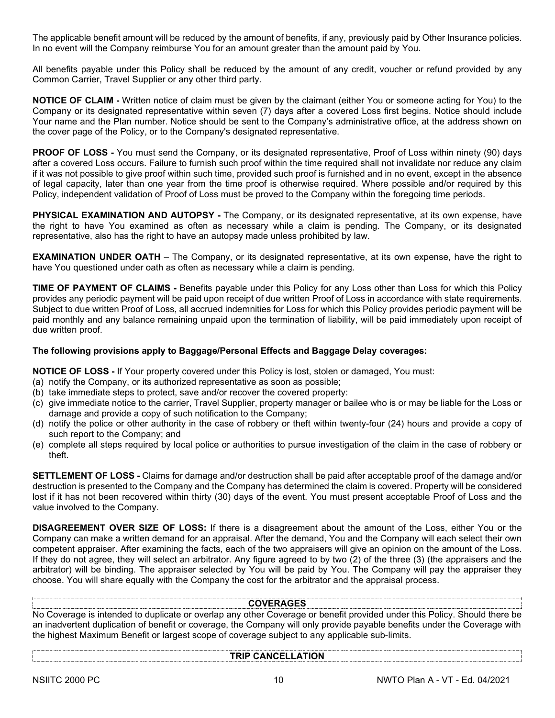The applicable benefit amount will be reduced by the amount of benefits, if any, previously paid by Other Insurance policies. In no event will the Company reimburse You for an amount greater than the amount paid by You.

All benefits payable under this Policy shall be reduced by the amount of any credit, voucher or refund provided by any Common Carrier, Travel Supplier or any other third party.

**NOTICE OF CLAIM -** Written notice of claim must be given by the claimant (either You or someone acting for You) to the Company or its designated representative within seven (7) days after a covered Loss first begins. Notice should include Your name and the Plan number. Notice should be sent to the Company's administrative office, at the address shown on the cover page of the Policy, or to the Company's designated representative.

**PROOF OF LOSS -** You must send the Company, or its designated representative, Proof of Loss within ninety (90) days after a covered Loss occurs. Failure to furnish such proof within the time required shall not invalidate nor reduce any claim if it was not possible to give proof within such time, provided such proof is furnished and in no event, except in the absence of legal capacity, later than one year from the time proof is otherwise required. Where possible and/or required by this Policy, independent validation of Proof of Loss must be proved to the Company within the foregoing time periods.

**PHYSICAL EXAMINATION AND AUTOPSY -** The Company, or its designated representative, at its own expense, have the right to have You examined as often as necessary while a claim is pending. The Company, or its designated representative, also has the right to have an autopsy made unless prohibited by law.

**EXAMINATION UNDER OATH** – The Company, or its designated representative, at its own expense, have the right to have You questioned under oath as often as necessary while a claim is pending.

**TIME OF PAYMENT OF CLAIMS -** Benefits payable under this Policy for any Loss other than Loss for which this Policy provides any periodic payment will be paid upon receipt of due written Proof of Loss in accordance with state requirements. Subject to due written Proof of Loss, all accrued indemnities for Loss for which this Policy provides periodic payment will be paid monthly and any balance remaining unpaid upon the termination of liability, will be paid immediately upon receipt of due written proof.

# **The following provisions apply to Baggage/Personal Effects and Baggage Delay coverages:**

**NOTICE OF LOSS -** If Your property covered under this Policy is lost, stolen or damaged, You must:

- (a) notify the Company, or its authorized representative as soon as possible;
- (b) take immediate steps to protect, save and/or recover the covered property:
- (c) give immediate notice to the carrier, Travel Supplier, property manager or bailee who is or may be liable for the Loss or damage and provide a copy of such notification to the Company;
- (d) notify the police or other authority in the case of robbery or theft within twenty-four (24) hours and provide a copy of such report to the Company; and
- (e) complete all steps required by local police or authorities to pursue investigation of the claim in the case of robbery or theft.

**SETTLEMENT OF LOSS -** Claims for damage and/or destruction shall be paid after acceptable proof of the damage and/or destruction is presented to the Company and the Company has determined the claim is covered. Property will be considered lost if it has not been recovered within thirty (30) days of the event. You must present acceptable Proof of Loss and the value involved to the Company.

**DISAGREEMENT OVER SIZE OF LOSS:** If there is a disagreement about the amount of the Loss, either You or the Company can make a written demand for an appraisal. After the demand, You and the Company will each select their own competent appraiser. After examining the facts, each of the two appraisers will give an opinion on the amount of the Loss. If they do not agree, they will select an arbitrator. Any figure agreed to by two (2) of the three (3) (the appraisers and the arbitrator) will be binding. The appraiser selected by You will be paid by You. The Company will pay the appraiser they choose. You will share equally with the Company the cost for the arbitrator and the appraisal process.

# **COVERAGES**

No Coverage is intended to duplicate or overlap any other Coverage or benefit provided under this Policy. Should there be an inadvertent duplication of benefit or coverage, the Company will only provide payable benefits under the Coverage with the highest Maximum Benefit or largest scope of coverage subject to any applicable sub-limits.

### **TRIP CANCELLATION**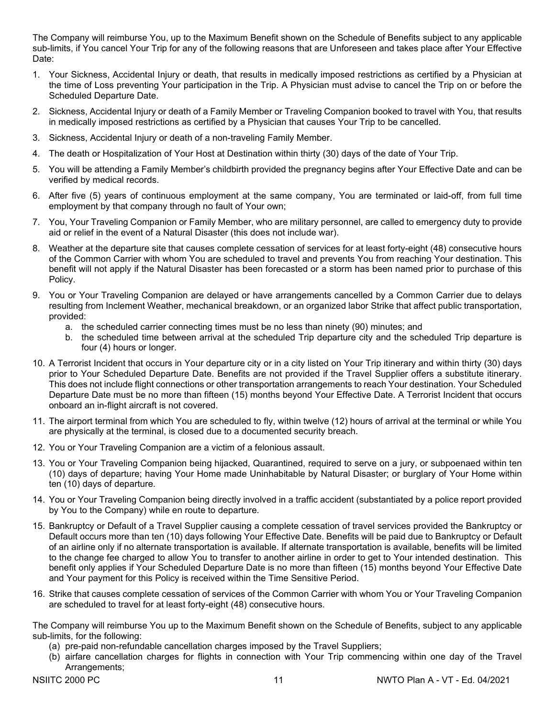The Company will reimburse You, up to the Maximum Benefit shown on the Schedule of Benefits subject to any applicable sub-limits, if You cancel Your Trip for any of the following reasons that are Unforeseen and takes place after Your Effective Date:

- 1. Your Sickness, Accidental Injury or death, that results in medically imposed restrictions as certified by a Physician at the time of Loss preventing Your participation in the Trip. A Physician must advise to cancel the Trip on or before the Scheduled Departure Date.
- 2. Sickness, Accidental Injury or death of a Family Member or Traveling Companion booked to travel with You, that results in medically imposed restrictions as certified by a Physician that causes Your Trip to be cancelled.
- 3. Sickness, Accidental Injury or death of a non-traveling Family Member.
- 4. The death or Hospitalization of Your Host at Destination within thirty (30) days of the date of Your Trip.
- 5. You will be attending a Family Member's childbirth provided the pregnancy begins after Your Effective Date and can be verified by medical records.
- 6. After five (5) years of continuous employment at the same company, You are terminated or laid-off, from full time employment by that company through no fault of Your own;
- 7. You, Your Traveling Companion or Family Member, who are military personnel, are called to emergency duty to provide aid or relief in the event of a Natural Disaster (this does not include war).
- 8. Weather at the departure site that causes complete cessation of services for at least forty-eight (48) consecutive hours of the Common Carrier with whom You are scheduled to travel and prevents You from reaching Your destination. This benefit will not apply if the Natural Disaster has been forecasted or a storm has been named prior to purchase of this Policy.
- 9. You or Your Traveling Companion are delayed or have arrangements cancelled by a Common Carrier due to delays resulting from Inclement Weather, mechanical breakdown, or an organized labor Strike that affect public transportation, provided:
	- a. the scheduled carrier connecting times must be no less than ninety (90) minutes; and
	- b. the scheduled time between arrival at the scheduled Trip departure city and the scheduled Trip departure is four (4) hours or longer.
- 10. A Terrorist Incident that occurs in Your departure city or in a city listed on Your Trip itinerary and within thirty (30) days prior to Your Scheduled Departure Date. Benefits are not provided if the Travel Supplier offers a substitute itinerary. This does not include flight connections or other transportation arrangements to reach Your destination. Your Scheduled Departure Date must be no more than fifteen (15) months beyond Your Effective Date. A Terrorist Incident that occurs onboard an in-flight aircraft is not covered.
- 11. The airport terminal from which You are scheduled to fly, within twelve (12) hours of arrival at the terminal or while You are physically at the terminal, is closed due to a documented security breach.
- 12. You or Your Traveling Companion are a victim of a felonious assault.
- 13. You or Your Traveling Companion being hijacked, Quarantined, required to serve on a jury, or subpoenaed within ten (10) days of departure; having Your Home made Uninhabitable by Natural Disaster; or burglary of Your Home within ten (10) days of departure.
- 14. You or Your Traveling Companion being directly involved in a traffic accident (substantiated by a police report provided by You to the Company) while en route to departure.
- 15. Bankruptcy or Default of a Travel Supplier causing a complete cessation of travel services provided the Bankruptcy or Default occurs more than ten (10) days following Your Effective Date. Benefits will be paid due to Bankruptcy or Default of an airline only if no alternate transportation is available. If alternate transportation is available, benefits will be limited to the change fee charged to allow You to transfer to another airline in order to get to Your intended destination. This benefit only applies if Your Scheduled Departure Date is no more than fifteen (15) months beyond Your Effective Date and Your payment for this Policy is received within the Time Sensitive Period.
- 16. Strike that causes complete cessation of services of the Common Carrier with whom You or Your Traveling Companion are scheduled to travel for at least forty-eight (48) consecutive hours.

The Company will reimburse You up to the Maximum Benefit shown on the Schedule of Benefits, subject to any applicable sub-limits, for the following:

- (a) pre-paid non-refundable cancellation charges imposed by the Travel Suppliers;
- (b) airfare cancellation charges for flights in connection with Your Trip commencing within one day of the Travel Arrangements;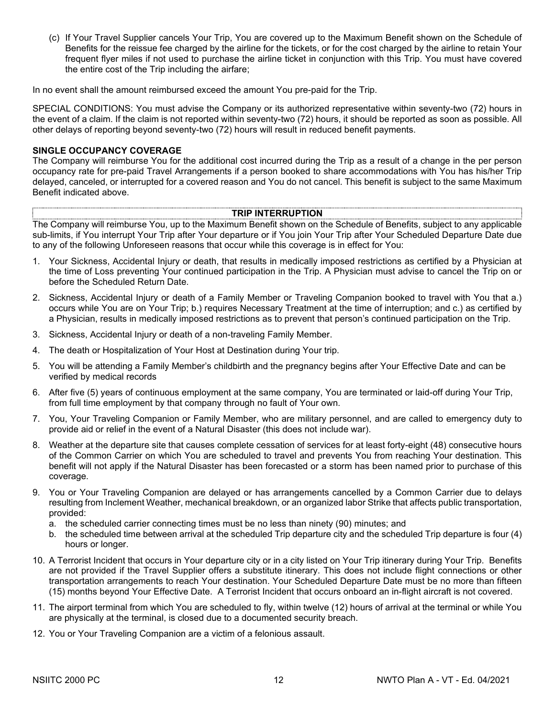(c) If Your Travel Supplier cancels Your Trip, You are covered up to the Maximum Benefit shown on the Schedule of Benefits for the reissue fee charged by the airline for the tickets, or for the cost charged by the airline to retain Your frequent flyer miles if not used to purchase the airline ticket in conjunction with this Trip. You must have covered the entire cost of the Trip including the airfare;

In no event shall the amount reimbursed exceed the amount You pre-paid for the Trip.

SPECIAL CONDITIONS: You must advise the Company or its authorized representative within seventy-two (72) hours in the event of a claim. If the claim is not reported within seventy-two (72) hours, it should be reported as soon as possible. All other delays of reporting beyond seventy-two (72) hours will result in reduced benefit payments.

### **SINGLE OCCUPANCY COVERAGE**

The Company will reimburse You for the additional cost incurred during the Trip as a result of a change in the per person occupancy rate for pre-paid Travel Arrangements if a person booked to share accommodations with You has his/her Trip delayed, canceled, or interrupted for a covered reason and You do not cancel. This benefit is subject to the same Maximum Benefit indicated above.

# **TRIP INTERRUPTION**

The Company will reimburse You, up to the Maximum Benefit shown on the Schedule of Benefits, subject to any applicable sub-limits, if You interrupt Your Trip after Your departure or if You join Your Trip after Your Scheduled Departure Date due to any of the following Unforeseen reasons that occur while this coverage is in effect for You:

- 1. Your Sickness, Accidental Injury or death, that results in medically imposed restrictions as certified by a Physician at the time of Loss preventing Your continued participation in the Trip. A Physician must advise to cancel the Trip on or before the Scheduled Return Date.
- 2. Sickness, Accidental Injury or death of a Family Member or Traveling Companion booked to travel with You that a.) occurs while You are on Your Trip; b.) requires Necessary Treatment at the time of interruption; and c.) as certified by a Physician, results in medically imposed restrictions as to prevent that person's continued participation on the Trip.
- 3. Sickness, Accidental Injury or death of a non-traveling Family Member.
- 4. The death or Hospitalization of Your Host at Destination during Your trip.
- 5. You will be attending a Family Member's childbirth and the pregnancy begins after Your Effective Date and can be verified by medical records
- 6. After five (5) years of continuous employment at the same company, You are terminated or laid-off during Your Trip, from full time employment by that company through no fault of Your own.
- 7. You, Your Traveling Companion or Family Member, who are military personnel, and are called to emergency duty to provide aid or relief in the event of a Natural Disaster (this does not include war).
- 8. Weather at the departure site that causes complete cessation of services for at least forty-eight (48) consecutive hours of the Common Carrier on which You are scheduled to travel and prevents You from reaching Your destination. This benefit will not apply if the Natural Disaster has been forecasted or a storm has been named prior to purchase of this coverage.
- 9. You or Your Traveling Companion are delayed or has arrangements cancelled by a Common Carrier due to delays resulting from Inclement Weather, mechanical breakdown, or an organized labor Strike that affects public transportation, provided:
	- a. the scheduled carrier connecting times must be no less than ninety (90) minutes; and
	- b. the scheduled time between arrival at the scheduled Trip departure city and the scheduled Trip departure is four (4) hours or longer.
- 10. A Terrorist Incident that occurs in Your departure city or in a city listed on Your Trip itinerary during Your Trip. Benefits are not provided if the Travel Supplier offers a substitute itinerary. This does not include flight connections or other transportation arrangements to reach Your destination. Your Scheduled Departure Date must be no more than fifteen (15) months beyond Your Effective Date. A Terrorist Incident that occurs onboard an in-flight aircraft is not covered.
- 11. The airport terminal from which You are scheduled to fly, within twelve (12) hours of arrival at the terminal or while You are physically at the terminal, is closed due to a documented security breach.
- 12. You or Your Traveling Companion are a victim of a felonious assault.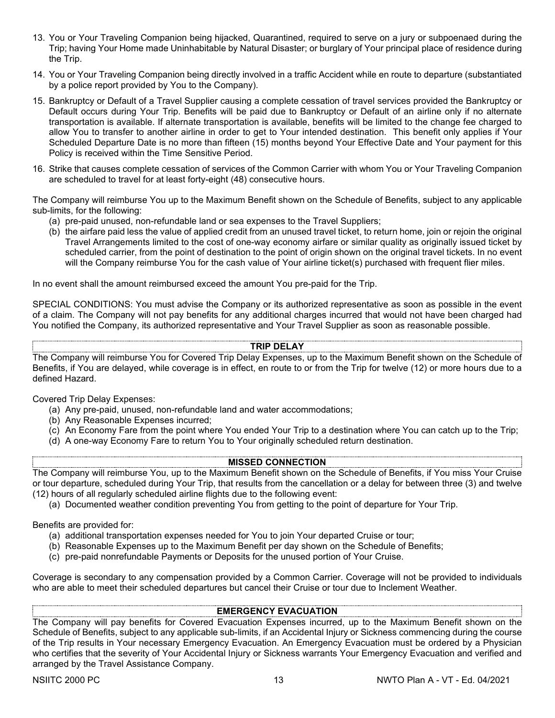- 13. You or Your Traveling Companion being hijacked, Quarantined, required to serve on a jury or subpoenaed during the Trip; having Your Home made Uninhabitable by Natural Disaster; or burglary of Your principal place of residence during the Trip.
- 14. You or Your Traveling Companion being directly involved in a traffic Accident while en route to departure (substantiated by a police report provided by You to the Company).
- 15. Bankruptcy or Default of a Travel Supplier causing a complete cessation of travel services provided the Bankruptcy or Default occurs during Your Trip. Benefits will be paid due to Bankruptcy or Default of an airline only if no alternate transportation is available. If alternate transportation is available, benefits will be limited to the change fee charged to allow You to transfer to another airline in order to get to Your intended destination. This benefit only applies if Your Scheduled Departure Date is no more than fifteen (15) months beyond Your Effective Date and Your payment for this Policy is received within the Time Sensitive Period.
- 16. Strike that causes complete cessation of services of the Common Carrier with whom You or Your Traveling Companion are scheduled to travel for at least forty-eight (48) consecutive hours.

The Company will reimburse You up to the Maximum Benefit shown on the Schedule of Benefits, subject to any applicable sub-limits, for the following:

- (a) pre-paid unused, non-refundable land or sea expenses to the Travel Suppliers;
- (b) the airfare paid less the value of applied credit from an unused travel ticket, to return home, join or rejoin the original Travel Arrangements limited to the cost of one-way economy airfare or similar quality as originally issued ticket by scheduled carrier, from the point of destination to the point of origin shown on the original travel tickets. In no event will the Company reimburse You for the cash value of Your airline ticket(s) purchased with frequent flier miles.

In no event shall the amount reimbursed exceed the amount You pre-paid for the Trip.

SPECIAL CONDITIONS: You must advise the Company or its authorized representative as soon as possible in the event of a claim. The Company will not pay benefits for any additional charges incurred that would not have been charged had You notified the Company, its authorized representative and Your Travel Supplier as soon as reasonable possible.

# **TRIP DELAY**

The Company will reimburse You for Covered Trip Delay Expenses, up to the Maximum Benefit shown on the Schedule of Benefits, if You are delayed, while coverage is in effect, en route to or from the Trip for twelve (12) or more hours due to a defined Hazard.

Covered Trip Delay Expenses:

- (a) Any pre-paid, unused, non-refundable land and water accommodations;
- (b) Any Reasonable Expenses incurred;
- (c) An Economy Fare from the point where You ended Your Trip to a destination where You can catch up to the Trip;
- (d) A one-way Economy Fare to return You to Your originally scheduled return destination.

# **MISSED CONNECTION**

The Company will reimburse You, up to the Maximum Benefit shown on the Schedule of Benefits, if You miss Your Cruise or tour departure, scheduled during Your Trip, that results from the cancellation or a delay for between three (3) and twelve (12) hours of all regularly scheduled airline flights due to the following event:

(a) Documented weather condition preventing You from getting to the point of departure for Your Trip.

Benefits are provided for:

- (a) additional transportation expenses needed for You to join Your departed Cruise or tour;
- (b) Reasonable Expenses up to the Maximum Benefit per day shown on the Schedule of Benefits;
- (c) pre-paid nonrefundable Payments or Deposits for the unused portion of Your Cruise.

Coverage is secondary to any compensation provided by a Common Carrier. Coverage will not be provided to individuals who are able to meet their scheduled departures but cancel their Cruise or tour due to Inclement Weather.

# **EMERGENCY EVACUATION**

The Company will pay benefits for Covered Evacuation Expenses incurred, up to the Maximum Benefit shown on the Schedule of Benefits, subject to any applicable sub-limits, if an Accidental Injury or Sickness commencing during the course of the Trip results in Your necessary Emergency Evacuation. An Emergency Evacuation must be ordered by a Physician who certifies that the severity of Your Accidental Injury or Sickness warrants Your Emergency Evacuation and verified and arranged by the Travel Assistance Company.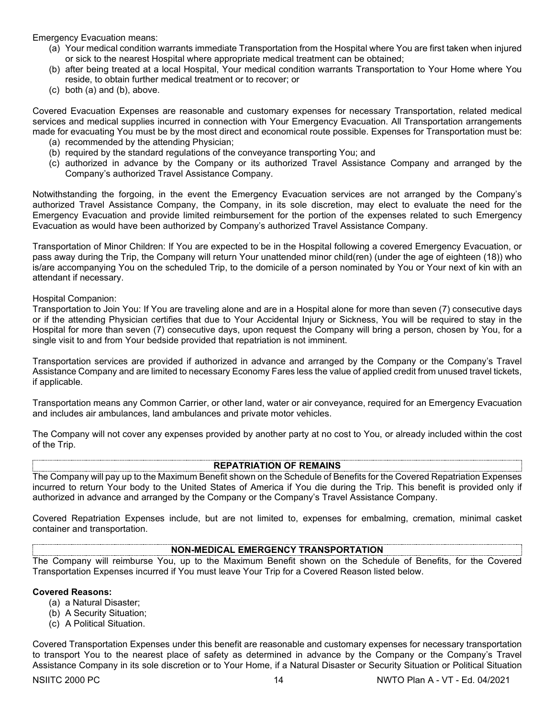Emergency Evacuation means:

- (a) Your medical condition warrants immediate Transportation from the Hospital where You are first taken when injured or sick to the nearest Hospital where appropriate medical treatment can be obtained;
- (b) after being treated at a local Hospital, Your medical condition warrants Transportation to Your Home where You reside, to obtain further medical treatment or to recover; or
- (c) both (a) and (b), above.

Covered Evacuation Expenses are reasonable and customary expenses for necessary Transportation, related medical services and medical supplies incurred in connection with Your Emergency Evacuation. All Transportation arrangements made for evacuating You must be by the most direct and economical route possible. Expenses for Transportation must be:

- (a) recommended by the attending Physician;
- (b) required by the standard regulations of the conveyance transporting You; and
- (c) authorized in advance by the Company or its authorized Travel Assistance Company and arranged by the Company's authorized Travel Assistance Company.

Notwithstanding the forgoing, in the event the Emergency Evacuation services are not arranged by the Company's authorized Travel Assistance Company, the Company, in its sole discretion, may elect to evaluate the need for the Emergency Evacuation and provide limited reimbursement for the portion of the expenses related to such Emergency Evacuation as would have been authorized by Company's authorized Travel Assistance Company.

Transportation of Minor Children: If You are expected to be in the Hospital following a covered Emergency Evacuation, or pass away during the Trip, the Company will return Your unattended minor child(ren) (under the age of eighteen (18)) who is/are accompanying You on the scheduled Trip, to the domicile of a person nominated by You or Your next of kin with an attendant if necessary.

Hospital Companion:

Transportation to Join You: If You are traveling alone and are in a Hospital alone for more than seven (7) consecutive days or if the attending Physician certifies that due to Your Accidental Injury or Sickness, You will be required to stay in the Hospital for more than seven (7) consecutive days, upon request the Company will bring a person, chosen by You, for a single visit to and from Your bedside provided that repatriation is not imminent.

Transportation services are provided if authorized in advance and arranged by the Company or the Company's Travel Assistance Company and are limited to necessary Economy Fares less the value of applied credit from unused travel tickets, if applicable.

Transportation means any Common Carrier, or other land, water or air conveyance, required for an Emergency Evacuation and includes air ambulances, land ambulances and private motor vehicles.

The Company will not cover any expenses provided by another party at no cost to You, or already included within the cost of the Trip.

### **REPATRIATION OF REMAINS**

The Company will pay up to the Maximum Benefit shown on the Schedule of Benefits for the Covered Repatriation Expenses incurred to return Your body to the United States of America if You die during the Trip. This benefit is provided only if authorized in advance and arranged by the Company or the Company's Travel Assistance Company.

Covered Repatriation Expenses include, but are not limited to, expenses for embalming, cremation, minimal casket container and transportation.

### **NON-MEDICAL EMERGENCY TRANSPORTATION**

The Company will reimburse You, up to the Maximum Benefit shown on the Schedule of Benefits, for the Covered Transportation Expenses incurred if You must leave Your Trip for a Covered Reason listed below.

### **Covered Reasons:**

- (a) a Natural Disaster;
- (b) A Security Situation;
- (c) A Political Situation.

Covered Transportation Expenses under this benefit are reasonable and customary expenses for necessary transportation to transport You to the nearest place of safety as determined in advance by the Company or the Company's Travel Assistance Company in its sole discretion or to Your Home, if a Natural Disaster or Security Situation or Political Situation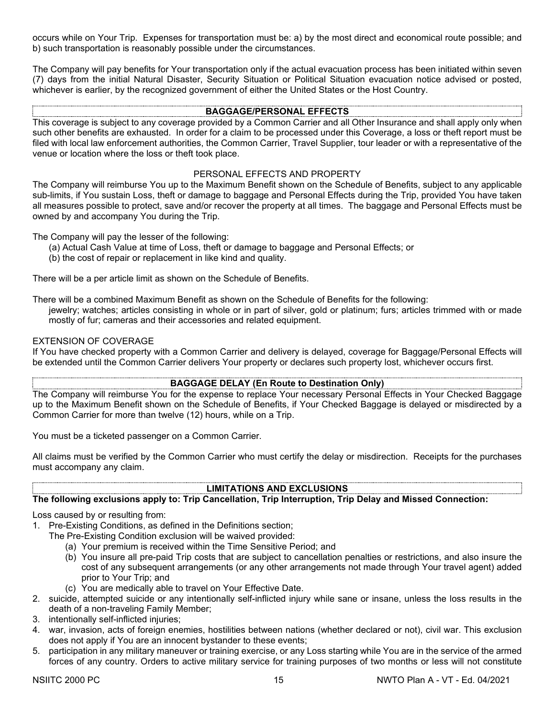occurs while on Your Trip. Expenses for transportation must be: a) by the most direct and economical route possible; and b) such transportation is reasonably possible under the circumstances.

The Company will pay benefits for Your transportation only if the actual evacuation process has been initiated within seven (7) days from the initial Natural Disaster, Security Situation or Political Situation evacuation notice advised or posted, whichever is earlier, by the recognized government of either the United States or the Host Country.

# **BAGGAGE/PERSONAL EFFECTS**

This coverage is subject to any coverage provided by a Common Carrier and all Other Insurance and shall apply only when such other benefits are exhausted. In order for a claim to be processed under this Coverage, a loss or theft report must be filed with local law enforcement authorities, the Common Carrier, Travel Supplier, tour leader or with a representative of the venue or location where the loss or theft took place.

# PERSONAL EFFECTS AND PROPERTY

The Company will reimburse You up to the Maximum Benefit shown on the Schedule of Benefits, subject to any applicable sub-limits, if You sustain Loss, theft or damage to baggage and Personal Effects during the Trip, provided You have taken all measures possible to protect, save and/or recover the property at all times. The baggage and Personal Effects must be owned by and accompany You during the Trip.

The Company will pay the lesser of the following:

- (a) Actual Cash Value at time of Loss, theft or damage to baggage and Personal Effects; or
- (b) the cost of repair or replacement in like kind and quality.

There will be a per article limit as shown on the Schedule of Benefits.

There will be a combined Maximum Benefit as shown on the Schedule of Benefits for the following:

jewelry; watches; articles consisting in whole or in part of silver, gold or platinum; furs; articles trimmed with or made mostly of fur; cameras and their accessories and related equipment.

# EXTENSION OF COVERAGE

If You have checked property with a Common Carrier and delivery is delayed, coverage for Baggage/Personal Effects will be extended until the Common Carrier delivers Your property or declares such property lost, whichever occurs first.

### **BAGGAGE DELAY (En Route to Destination Only)**

The Company will reimburse You for the expense to replace Your necessary Personal Effects in Your Checked Baggage up to the Maximum Benefit shown on the Schedule of Benefits, if Your Checked Baggage is delayed or misdirected by a Common Carrier for more than twelve (12) hours, while on a Trip.

You must be a ticketed passenger on a Common Carrier.

All claims must be verified by the Common Carrier who must certify the delay or misdirection. Receipts for the purchases must accompany any claim.

# **LIMITATIONS AND EXCLUSIONS**

# **The following exclusions apply to: Trip Cancellation, Trip Interruption, Trip Delay and Missed Connection:**

Loss caused by or resulting from:

- 1. Pre-Existing Conditions, as defined in the Definitions section;
	- The Pre-Existing Condition exclusion will be waived provided:
		- (a) Your premium is received within the Time Sensitive Period; and
		- (b) You insure all pre-paid Trip costs that are subject to cancellation penalties or restrictions, and also insure the cost of any subsequent arrangements (or any other arrangements not made through Your travel agent) added prior to Your Trip; and
		- (c) You are medically able to travel on Your Effective Date.
- 2. suicide, attempted suicide or any intentionally self-inflicted injury while sane or insane, unless the loss results in the death of a non-traveling Family Member;
- 3. intentionally self-inflicted injuries;
- 4. war, invasion, acts of foreign enemies, hostilities between nations (whether declared or not), civil war. This exclusion does not apply if You are an innocent bystander to these events;
- 5. participation in any military maneuver or training exercise, or any Loss starting while You are in the service of the armed forces of any country. Orders to active military service for training purposes of two months or less will not constitute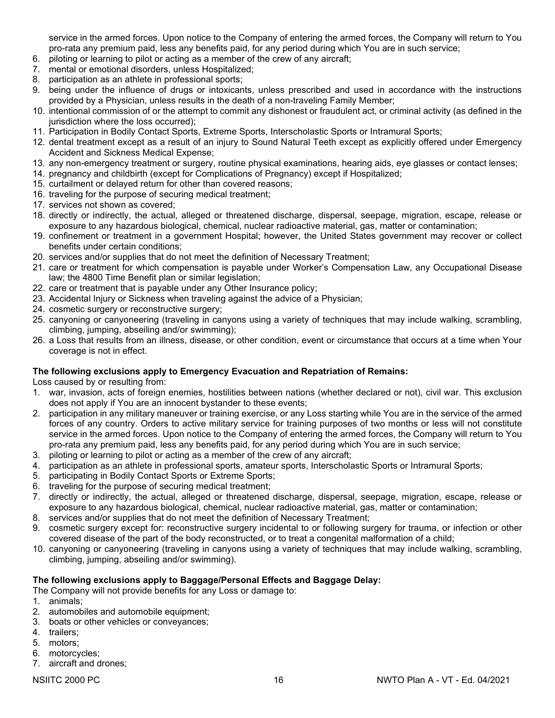service in the armed forces. Upon notice to the Company of entering the armed forces, the Company will return to You pro-rata any premium paid, less any benefits paid, for any period during which You are in such service;

- 6. piloting or learning to pilot or acting as a member of the crew of any aircraft;
- 7. mental or emotional disorders, unless Hospitalized;
- 8. participation as an athlete in professional sports;
- 9. being under the influence of drugs or intoxicants, unless prescribed and used in accordance with the instructions provided by a Physician, unless results in the death of a non-traveling Family Member;
- 10. intentional commission of or the attempt to commit any dishonest or fraudulent act, or criminal activity (as defined in the jurisdiction where the loss occurred);
- 11. Participation in Bodily Contact Sports, Extreme Sports, Interscholastic Sports or Intramural Sports;
- 12. dental treatment except as a result of an injury to Sound Natural Teeth except as explicitly offered under Emergency Accident and Sickness Medical Expense;
- 13. any non-emergency treatment or surgery, routine physical examinations, hearing aids, eye glasses or contact lenses;
- 14. pregnancy and childbirth (except for Complications of Pregnancy) except if Hospitalized;
- 15. curtailment or delayed return for other than covered reasons;
- 16. traveling for the purpose of securing medical treatment;
- 17. services not shown as covered;
- 18. directly or indirectly, the actual, alleged or threatened discharge, dispersal, seepage, migration, escape, release or exposure to any hazardous biological, chemical, nuclear radioactive material, gas, matter or contamination;
- 19. confinement or treatment in a government Hospital; however, the United States government may recover or collect benefits under certain conditions;
- 20. services and/or supplies that do not meet the definition of Necessary Treatment;
- 21. care or treatment for which compensation is payable under Worker's Compensation Law, any Occupational Disease law; the 4800 Time Benefit plan or similar legislation;
- 22. care or treatment that is payable under any Other Insurance policy;
- 23. Accidental Injury or Sickness when traveling against the advice of a Physician;
- 24. cosmetic surgery or reconstructive surgery;
- 25. canyoning or canyoneering (traveling in canyons using a variety of techniques that may include walking, scrambling, climbing, jumping, abseiling and/or swimming);
- 26. a Loss that results from an illness, disease, or other condition, event or circumstance that occurs at a time when Your coverage is not in effect.

### **The following exclusions apply to Emergency Evacuation and Repatriation of Remains:**

Loss caused by or resulting from:

- 1. war, invasion, acts of foreign enemies, hostilities between nations (whether declared or not), civil war. This exclusion does not apply if You are an innocent bystander to these events;
- 2. participation in any military maneuver or training exercise, or any Loss starting while You are in the service of the armed forces of any country. Orders to active military service for training purposes of two months or less will not constitute service in the armed forces. Upon notice to the Company of entering the armed forces, the Company will return to You pro-rata any premium paid, less any benefits paid, for any period during which You are in such service;
- 3. piloting or learning to pilot or acting as a member of the crew of any aircraft;
- 4. participation as an athlete in professional sports, amateur sports, Interscholastic Sports or Intramural Sports;
- 5. participating in Bodily Contact Sports or Extreme Sports;
- 6. traveling for the purpose of securing medical treatment;
- 7. directly or indirectly, the actual, alleged or threatened discharge, dispersal, seepage, migration, escape, release or exposure to any hazardous biological, chemical, nuclear radioactive material, gas, matter or contamination;
- 8. services and/or supplies that do not meet the definition of Necessary Treatment;
- 9. cosmetic surgery except for: reconstructive surgery incidental to or following surgery for trauma, or infection or other covered disease of the part of the body reconstructed, or to treat a congenital malformation of a child;
- 10. canyoning or canyoneering (traveling in canyons using a variety of techniques that may include walking, scrambling, climbing, jumping, abseiling and/or swimming).

# **The following exclusions apply to Baggage/Personal Effects and Baggage Delay:**

The Company will not provide benefits for any Loss or damage to:

- 1. animals;
- 2. automobiles and automobile equipment;
- 3. boats or other vehicles or conveyances;
- 4. trailers;
- 5. motors;
- 6. motorcycles;
- 7. aircraft and drones;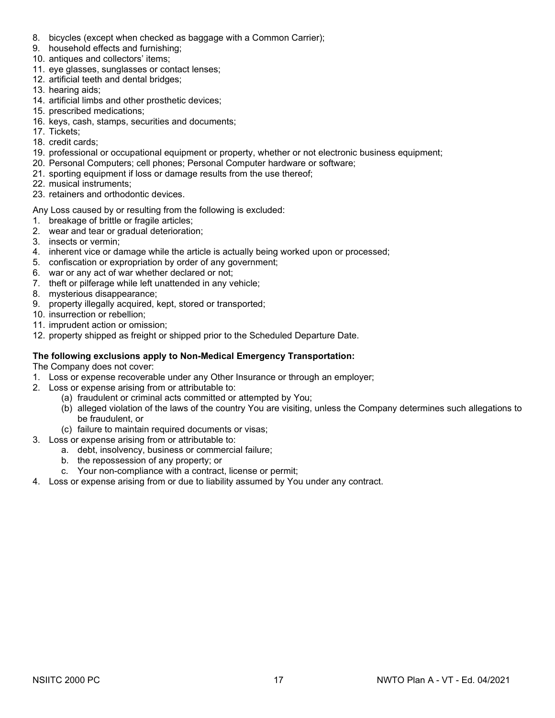- 8. bicycles (except when checked as baggage with a Common Carrier);
- 9. household effects and furnishing;
- 10. antiques and collectors' items;
- 11. eye glasses, sunglasses or contact lenses;
- 12. artificial teeth and dental bridges;
- 13. hearing aids;
- 14. artificial limbs and other prosthetic devices;
- 15. prescribed medications;
- 16. keys, cash, stamps, securities and documents;
- 17. Tickets;
- 18. credit cards;
- 19. professional or occupational equipment or property, whether or not electronic business equipment;
- 20. Personal Computers; cell phones; Personal Computer hardware or software;
- 21. sporting equipment if loss or damage results from the use thereof;
- 22. musical instruments;
- 23. retainers and orthodontic devices.

Any Loss caused by or resulting from the following is excluded:

- 1. breakage of brittle or fragile articles;
- 2. wear and tear or gradual deterioration;
- 3. insects or vermin;
- 4. inherent vice or damage while the article is actually being worked upon or processed;
- 5. confiscation or expropriation by order of any government;
- 6. war or any act of war whether declared or not;
- 7. theft or pilferage while left unattended in any vehicle;
- 8. mysterious disappearance;
- 9. property illegally acquired, kept, stored or transported;
- 10. insurrection or rebellion;
- 11. imprudent action or omission;
- 12. property shipped as freight or shipped prior to the Scheduled Departure Date.

# **The following exclusions apply to Non-Medical Emergency Transportation:**

The Company does not cover:

- 1. Loss or expense recoverable under any Other Insurance or through an employer;
- 2. Loss or expense arising from or attributable to:
	- (a) fraudulent or criminal acts committed or attempted by You;
	- (b) alleged violation of the laws of the country You are visiting, unless the Company determines such allegations to be fraudulent, or
	- (c) failure to maintain required documents or visas;
- 3. Loss or expense arising from or attributable to:
	- a. debt, insolvency, business or commercial failure;
	- b. the repossession of any property; or
	- c. Your non-compliance with a contract, license or permit;
- 4. Loss or expense arising from or due to liability assumed by You under any contract.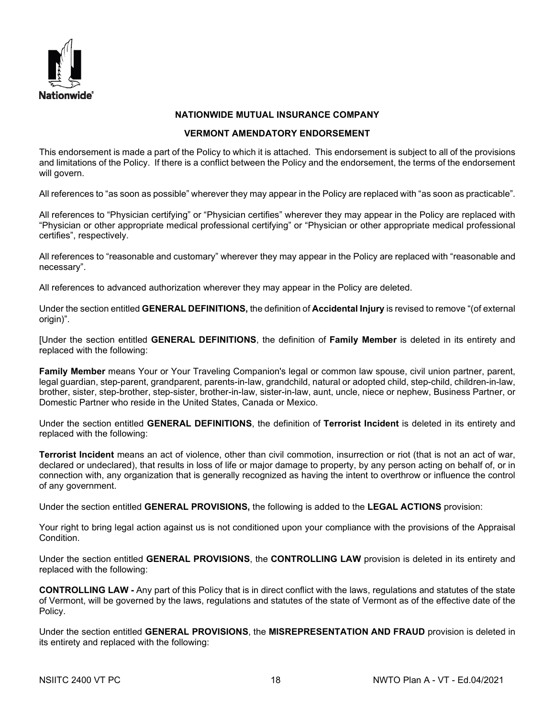

### **NATIONWIDE MUTUAL INSURANCE COMPANY**

### **VERMONT AMENDATORY ENDORSEMENT**

This endorsement is made a part of the Policy to which it is attached. This endorsement is subject to all of the provisions and limitations of the Policy. If there is a conflict between the Policy and the endorsement, the terms of the endorsement will govern.

All references to "as soon as possible" wherever they may appear in the Policy are replaced with "as soon as practicable".

All references to "Physician certifying" or "Physician certifies" wherever they may appear in the Policy are replaced with "Physician or other appropriate medical professional certifying" or "Physician or other appropriate medical professional certifies", respectively.

All references to "reasonable and customary" wherever they may appear in the Policy are replaced with "reasonable and necessary".

All references to advanced authorization wherever they may appear in the Policy are deleted.

Under the section entitled **GENERAL DEFINITIONS,** the definition of **Accidental Injury** is revised to remove "(of external origin)".

[Under the section entitled **GENERAL DEFINITIONS**, the definition of **Family Member** is deleted in its entirety and replaced with the following:

**Family Member** means Your or Your Traveling Companion's legal or common law spouse, civil union partner, parent, legal guardian, step-parent, grandparent, parents-in-law, grandchild, natural or adopted child, step-child, children-in-law, brother, sister, step-brother, step-sister, brother-in-law, sister-in-law, aunt, uncle, niece or nephew, Business Partner, or Domestic Partner who reside in the United States, Canada or Mexico.

Under the section entitled **GENERAL DEFINITIONS**, the definition of **Terrorist Incident** is deleted in its entirety and replaced with the following:

**Terrorist Incident** means an act of violence, other than civil commotion, insurrection or riot (that is not an act of war, declared or undeclared), that results in loss of life or major damage to property, by any person acting on behalf of, or in connection with, any organization that is generally recognized as having the intent to overthrow or influence the control of any government.

Under the section entitled **GENERAL PROVISIONS,** the following is added to the **LEGAL ACTIONS** provision:

Your right to bring legal action against us is not conditioned upon your compliance with the provisions of the Appraisal Condition.

Under the section entitled **GENERAL PROVISIONS**, the **CONTROLLING LAW** provision is deleted in its entirety and replaced with the following:

**CONTROLLING LAW -** Any part of this Policy that is in direct conflict with the laws, regulations and statutes of the state of Vermont, will be governed by the laws, regulations and statutes of the state of Vermont as of the effective date of the Policy.

Under the section entitled **GENERAL PROVISIONS**, the **MISREPRESENTATION AND FRAUD** provision is deleted in its entirety and replaced with the following: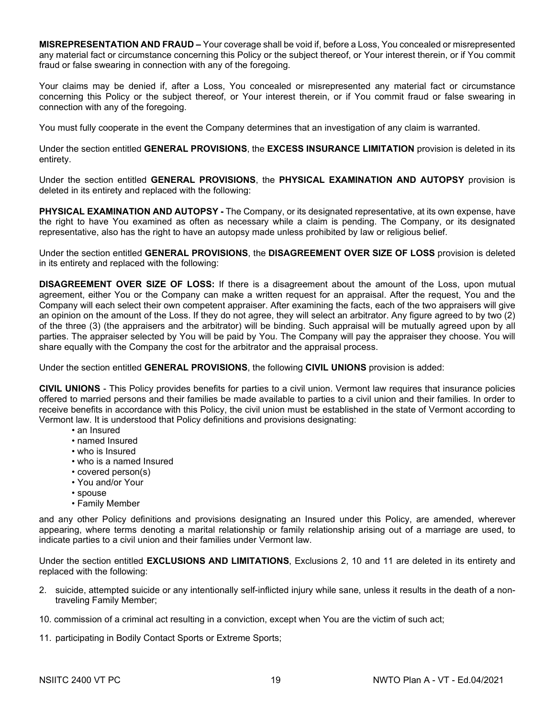**MISREPRESENTATION AND FRAUD –** Your coverage shall be void if, before a Loss, You concealed or misrepresented any material fact or circumstance concerning this Policy or the subject thereof, or Your interest therein, or if You commit fraud or false swearing in connection with any of the foregoing.

Your claims may be denied if, after a Loss, You concealed or misrepresented any material fact or circumstance concerning this Policy or the subject thereof, or Your interest therein, or if You commit fraud or false swearing in connection with any of the foregoing.

You must fully cooperate in the event the Company determines that an investigation of any claim is warranted.

Under the section entitled **GENERAL PROVISIONS**, the **EXCESS INSURANCE LIMITATION** provision is deleted in its entirety.

Under the section entitled **GENERAL PROVISIONS**, the **PHYSICAL EXAMINATION AND AUTOPSY** provision is deleted in its entirety and replaced with the following:

**PHYSICAL EXAMINATION AND AUTOPSY -** The Company, or its designated representative, at its own expense, have the right to have You examined as often as necessary while a claim is pending. The Company, or its designated representative, also has the right to have an autopsy made unless prohibited by law or religious belief.

Under the section entitled **GENERAL PROVISIONS**, the **DISAGREEMENT OVER SIZE OF LOSS** provision is deleted in its entirety and replaced with the following:

**DISAGREEMENT OVER SIZE OF LOSS:** If there is a disagreement about the amount of the Loss, upon mutual agreement, either You or the Company can make a written request for an appraisal. After the request, You and the Company will each select their own competent appraiser. After examining the facts, each of the two appraisers will give an opinion on the amount of the Loss. If they do not agree, they will select an arbitrator. Any figure agreed to by two (2) of the three (3) (the appraisers and the arbitrator) will be binding. Such appraisal will be mutually agreed upon by all parties. The appraiser selected by You will be paid by You. The Company will pay the appraiser they choose. You will share equally with the Company the cost for the arbitrator and the appraisal process.

Under the section entitled **GENERAL PROVISIONS**, the following **CIVIL UNIONS** provision is added:

**CIVIL UNIONS** - This Policy provides benefits for parties to a civil union. Vermont law requires that insurance policies offered to married persons and their families be made available to parties to a civil union and their families. In order to receive benefits in accordance with this Policy, the civil union must be established in the state of Vermont according to Vermont law. It is understood that Policy definitions and provisions designating:

- an Insured
- named Insured
- who is Insured
- who is a named Insured
- covered person(s)
- You and/or Your
- spouse
- Family Member

and any other Policy definitions and provisions designating an Insured under this Policy, are amended, wherever appearing, where terms denoting a marital relationship or family relationship arising out of a marriage are used, to indicate parties to a civil union and their families under Vermont law.

Under the section entitled **EXCLUSIONS AND LIMITATIONS**, Exclusions 2, 10 and 11 are deleted in its entirety and replaced with the following:

- 2. suicide, attempted suicide or any intentionally self-inflicted injury while sane, unless it results in the death of a nontraveling Family Member;
- 10. commission of a criminal act resulting in a conviction, except when You are the victim of such act;
- 11. participating in Bodily Contact Sports or Extreme Sports;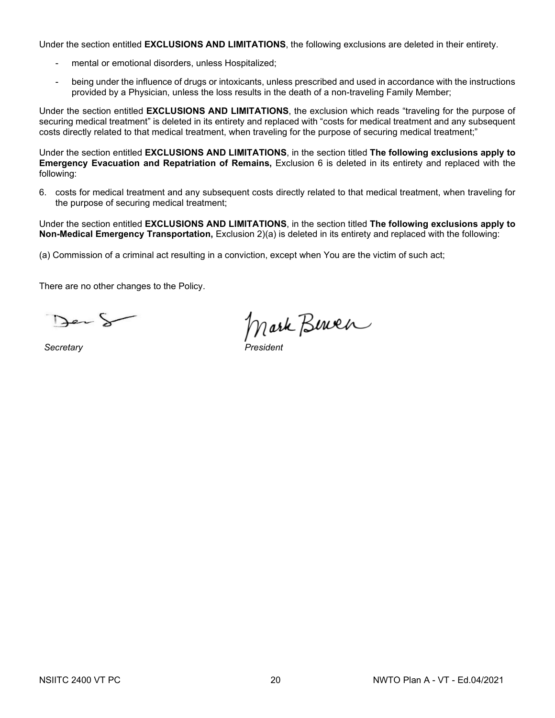Under the section entitled **EXCLUSIONS AND LIMITATIONS**, the following exclusions are deleted in their entirety.

- mental or emotional disorders, unless Hospitalized;
- being under the influence of drugs or intoxicants, unless prescribed and used in accordance with the instructions provided by a Physician, unless the loss results in the death of a non-traveling Family Member;

Under the section entitled **EXCLUSIONS AND LIMITATIONS**, the exclusion which reads "traveling for the purpose of securing medical treatment" is deleted in its entirety and replaced with "costs for medical treatment and any subsequent costs directly related to that medical treatment, when traveling for the purpose of securing medical treatment;"

Under the section entitled **EXCLUSIONS AND LIMITATIONS**, in the section titled **The following exclusions apply to Emergency Evacuation and Repatriation of Remains,** Exclusion 6 is deleted in its entirety and replaced with the following:

6. costs for medical treatment and any subsequent costs directly related to that medical treatment, when traveling for the purpose of securing medical treatment;

Under the section entitled **EXCLUSIONS AND LIMITATIONS**, in the section titled **The following exclusions apply to Non-Medical Emergency Transportation,** Exclusion 2)(a) is deleted in its entirety and replaced with the following:

(a) Commission of a criminal act resulting in a conviction, except when You are the victim of such act;

There are no other changes to the Policy.

Der S

 $S**ecret**arv$ 

Mark Berner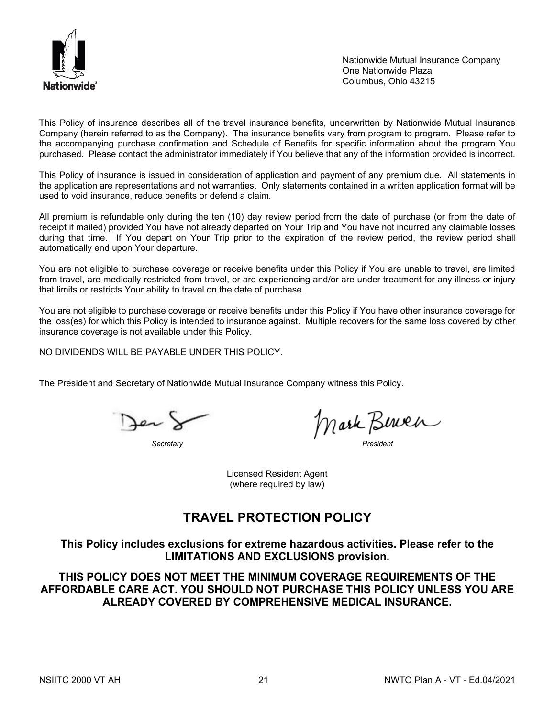

Nationwide Mutual Insurance Company One Nationwide Plaza Columbus, Ohio 43215

This Policy of insurance describes all of the travel insurance benefits, underwritten by Nationwide Mutual Insurance Company (herein referred to as the Company). The insurance benefits vary from program to program. Please refer to the accompanying purchase confirmation and Schedule of Benefits for specific information about the program You purchased. Please contact the administrator immediately if You believe that any of the information provided is incorrect.

This Policy of insurance is issued in consideration of application and payment of any premium due. All statements in the application are representations and not warranties. Only statements contained in a written application format will be used to void insurance, reduce benefits or defend a claim.

All premium is refundable only during the ten (10) day review period from the date of purchase (or from the date of receipt if mailed) provided You have not already departed on Your Trip and You have not incurred any claimable losses during that time. If You depart on Your Trip prior to the expiration of the review period, the review period shall automatically end upon Your departure.

You are not eligible to purchase coverage or receive benefits under this Policy if You are unable to travel, are limited from travel, are medically restricted from travel, or are experiencing and/or are under treatment for any illness or injury that limits or restricts Your ability to travel on the date of purchase.

You are not eligible to purchase coverage or receive benefits under this Policy if You have other insurance coverage for the loss(es) for which this Policy is intended to insurance against. Multiple recovers for the same loss covered by other insurance coverage is not available under this Policy.

NO DIVIDENDS WILL BE PAYABLE UNDER THIS POLICY.

The President and Secretary of Nationwide Mutual Insurance Company witness this Policy.

Jer )

*Secretary President*

Licensed Resident Agent (where required by law)

# **TRAVEL PROTECTION POLICY**

**This Policy includes exclusions for extreme hazardous activities. Please refer to the LIMITATIONS AND EXCLUSIONS provision.**

**THIS POLICY DOES NOT MEET THE MINIMUM COVERAGE REQUIREMENTS OF THE AFFORDABLE CARE ACT. YOU SHOULD NOT PURCHASE THIS POLICY UNLESS YOU ARE ALREADY COVERED BY COMPREHENSIVE MEDICAL INSURANCE.**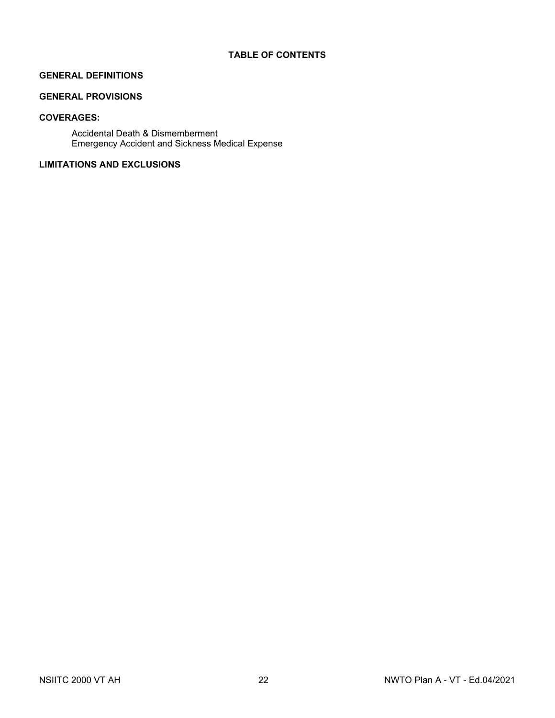# **GENERAL DEFINITIONS**

# **GENERAL PROVISIONS**

# **COVERAGES:**

Accidental Death & Dismemberment Emergency Accident and Sickness Medical Expense

# **LIMITATIONS AND EXCLUSIONS**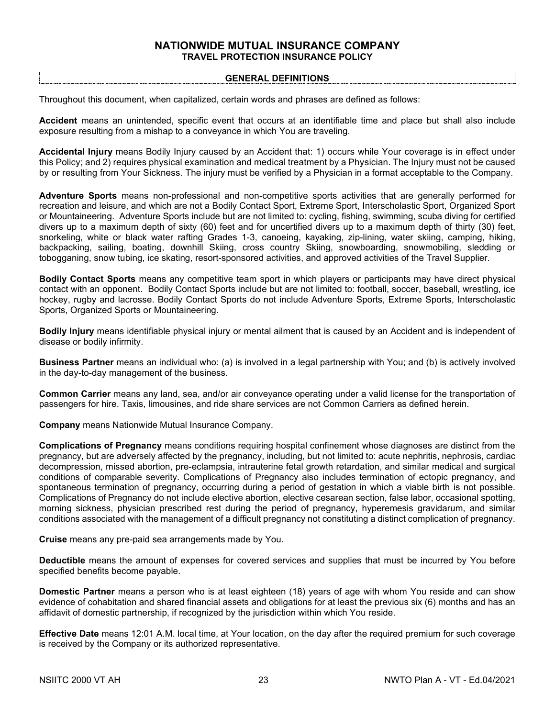### **NATIONWIDE MUTUAL INSURANCE COMPANY TRAVEL PROTECTION INSURANCE POLICY**

#### **GENERAL DEFINITIONS**

Throughout this document, when capitalized, certain words and phrases are defined as follows:

**Accident** means an unintended, specific event that occurs at an identifiable time and place but shall also include exposure resulting from a mishap to a conveyance in which You are traveling.

**Accidental Injury** means Bodily Injury caused by an Accident that: 1) occurs while Your coverage is in effect under this Policy; and 2) requires physical examination and medical treatment by a Physician. The Injury must not be caused by or resulting from Your Sickness. The injury must be verified by a Physician in a format acceptable to the Company.

**Adventure Sports** means non-professional and non-competitive sports activities that are generally performed for recreation and leisure, and which are not a Bodily Contact Sport, Extreme Sport, Interscholastic Sport, Organized Sport or Mountaineering. Adventure Sports include but are not limited to: cycling, fishing, swimming, scuba diving for certified divers up to a maximum depth of sixty (60) feet and for uncertified divers up to a maximum depth of thirty (30) feet, snorkeling, white or black water rafting Grades 1-3, canoeing, kayaking, zip-lining, water skiing, camping, hiking, backpacking, sailing, boating, downhill Skiing, cross country Skiing, snowboarding, snowmobiling, sledding or tobogganing, snow tubing, ice skating, resort-sponsored activities, and approved activities of the Travel Supplier.

**Bodily Contact Sports** means any competitive team sport in which players or participants may have direct physical contact with an opponent. Bodily Contact Sports include but are not limited to: football, soccer, baseball, wrestling, ice hockey, rugby and lacrosse. Bodily Contact Sports do not include Adventure Sports, Extreme Sports, Interscholastic Sports, Organized Sports or Mountaineering.

**Bodily Injury** means identifiable physical injury or mental ailment that is caused by an Accident and is independent of disease or bodily infirmity.

**Business Partner** means an individual who: (a) is involved in a legal partnership with You; and (b) is actively involved in the day-to-day management of the business.

**Common Carrier** means any land, sea, and/or air conveyance operating under a valid license for the transportation of passengers for hire. Taxis, limousines, and ride share services are not Common Carriers as defined herein.

**Company** means Nationwide Mutual Insurance Company.

**Complications of Pregnancy** means conditions requiring hospital confinement whose diagnoses are distinct from the pregnancy, but are adversely affected by the pregnancy, including, but not limited to: acute nephritis, nephrosis, cardiac decompression, missed abortion, pre-eclampsia, intrauterine fetal growth retardation, and similar medical and surgical conditions of comparable severity. Complications of Pregnancy also includes termination of ectopic pregnancy, and spontaneous termination of pregnancy, occurring during a period of gestation in which a viable birth is not possible. Complications of Pregnancy do not include elective abortion, elective cesarean section, false labor, occasional spotting, morning sickness, physician prescribed rest during the period of pregnancy, hyperemesis gravidarum, and similar conditions associated with the management of a difficult pregnancy not constituting a distinct complication of pregnancy.

**Cruise** means any pre-paid sea arrangements made by You.

**Deductible** means the amount of expenses for covered services and supplies that must be incurred by You before specified benefits become payable.

**Domestic Partner** means a person who is at least eighteen (18) years of age with whom You reside and can show evidence of cohabitation and shared financial assets and obligations for at least the previous six (6) months and has an affidavit of domestic partnership, if recognized by the jurisdiction within which You reside.

**Effective Date** means 12:01 A.M. local time, at Your location, on the day after the required premium for such coverage is received by the Company or its authorized representative.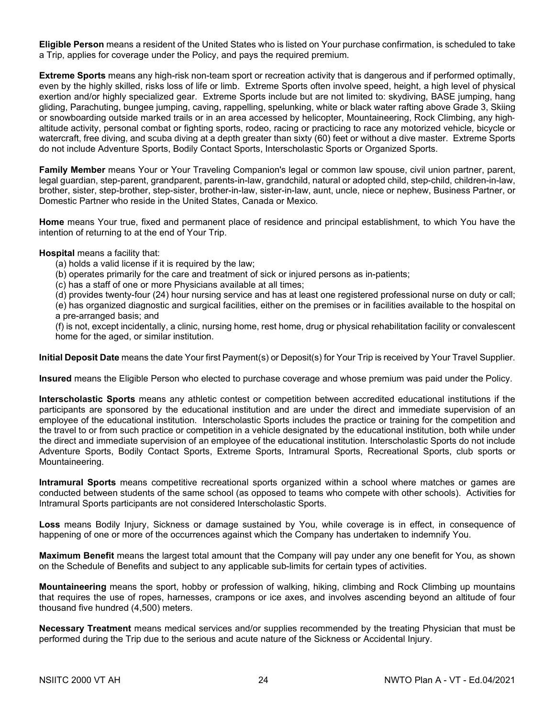**Eligible Person** means a resident of the United States who is listed on Your purchase confirmation, is scheduled to take a Trip, applies for coverage under the Policy, and pays the required premium.

**Extreme Sports** means any high-risk non-team sport or recreation activity that is dangerous and if performed optimally, even by the highly skilled, risks loss of life or limb. Extreme Sports often involve speed, height, a high level of physical exertion and/or highly specialized gear. Extreme Sports include but are not limited to: skydiving, BASE jumping, hang gliding, Parachuting, bungee jumping, caving, rappelling, spelunking, white or black water rafting above Grade 3, Skiing or snowboarding outside marked trails or in an area accessed by helicopter, Mountaineering, Rock Climbing, any high‐ altitude activity, personal combat or fighting sports, rodeo, racing or practicing to race any motorized vehicle, bicycle or watercraft, free diving, and scuba diving at a depth greater than sixty (60) feet or without a dive master. Extreme Sports do not include Adventure Sports, Bodily Contact Sports, Interscholastic Sports or Organized Sports.

**Family Member** means Your or Your Traveling Companion's legal or common law spouse, civil union partner, parent, legal guardian, step-parent, grandparent, parents-in-law, grandchild, natural or adopted child, step-child, children-in-law, brother, sister, step-brother, step-sister, brother-in-law, sister-in-law, aunt, uncle, niece or nephew, Business Partner, or Domestic Partner who reside in the United States, Canada or Mexico.

**Home** means Your true, fixed and permanent place of residence and principal establishment, to which You have the intention of returning to at the end of Your Trip.

#### **Hospital** means a facility that:

- (a) holds a valid license if it is required by the law;
- (b) operates primarily for the care and treatment of sick or injured persons as in-patients;
- (c) has a staff of one or more Physicians available at all times;

(d) provides twenty-four (24) hour nursing service and has at least one registered professional nurse on duty or call; (e) has organized diagnostic and surgical facilities, either on the premises or in facilities available to the hospital on

a pre-arranged basis; and

(f) is not, except incidentally, a clinic, nursing home, rest home, drug or physical rehabilitation facility or convalescent home for the aged, or similar institution.

**Initial Deposit Date** means the date Your first Payment(s) or Deposit(s) for Your Trip is received by Your Travel Supplier.

**Insured** means the Eligible Person who elected to purchase coverage and whose premium was paid under the Policy.

**Interscholastic Sports** means any athletic contest or competition between accredited educational institutions if the participants are sponsored by the educational institution and are under the direct and immediate supervision of an employee of the educational institution. Interscholastic Sports includes the practice or training for the competition and the travel to or from such practice or competition in a vehicle designated by the educational institution, both while under the direct and immediate supervision of an employee of the educational institution. Interscholastic Sports do not include Adventure Sports, Bodily Contact Sports, Extreme Sports, Intramural Sports, Recreational Sports, club sports or Mountaineering.

**Intramural Sports** means competitive recreational sports organized within a school where matches or games are conducted between students of the same school (as opposed to teams who compete with other schools). Activities for Intramural Sports participants are not considered Interscholastic Sports.

**Loss** means Bodily Injury, Sickness or damage sustained by You, while coverage is in effect, in consequence of happening of one or more of the occurrences against which the Company has undertaken to indemnify You.

**Maximum Benefit** means the largest total amount that the Company will pay under any one benefit for You, as shown on the Schedule of Benefits and subject to any applicable sub-limits for certain types of activities.

**Mountaineering** means the sport, hobby or profession of walking, hiking, climbing and Rock Climbing up mountains that requires the use of ropes, harnesses, crampons or ice axes, and involves ascending beyond an altitude of four thousand five hundred (4,500) meters.

**Necessary Treatment** means medical services and/or supplies recommended by the treating Physician that must be performed during the Trip due to the serious and acute nature of the Sickness or Accidental Injury.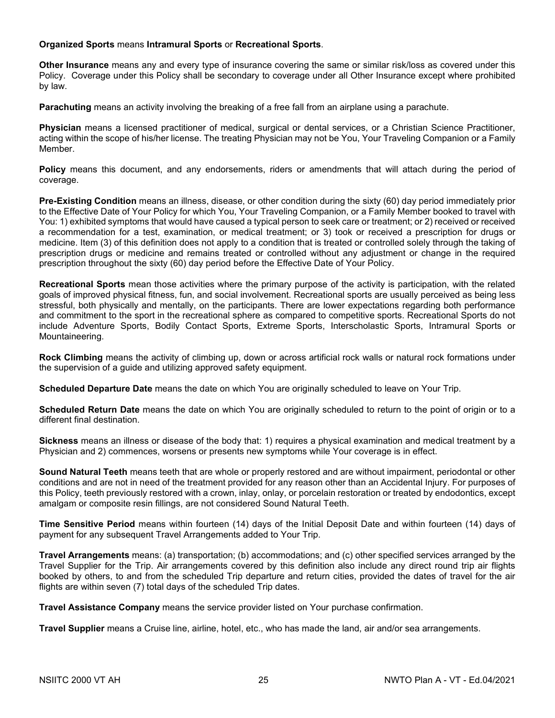## **Organized Sports** means **Intramural Sports** or **Recreational Sports**.

**Other Insurance** means any and every type of insurance covering the same or similar risk/loss as covered under this Policy. Coverage under this Policy shall be secondary to coverage under all Other Insurance except where prohibited by law.

**Parachuting** means an activity involving the breaking of a free fall from an airplane using a parachute.

**Physician** means a licensed practitioner of medical, surgical or dental services, or a Christian Science Practitioner, acting within the scope of his/her license. The treating Physician may not be You, Your Traveling Companion or a Family Member.

**Policy** means this document, and any endorsements, riders or amendments that will attach during the period of coverage.

**Pre-Existing Condition** means an illness, disease, or other condition during the sixty (60) day period immediately prior to the Effective Date of Your Policy for which You, Your Traveling Companion, or a Family Member booked to travel with You: 1) exhibited symptoms that would have caused a typical person to seek care or treatment; or 2) received or received a recommendation for a test, examination, or medical treatment; or 3) took or received a prescription for drugs or medicine. Item (3) of this definition does not apply to a condition that is treated or controlled solely through the taking of prescription drugs or medicine and remains treated or controlled without any adjustment or change in the required prescription throughout the sixty (60) day period before the Effective Date of Your Policy.

**Recreational Sports** mean those activities where the primary purpose of the activity is participation, with the related goals of improved physical fitness, fun, and social involvement. Recreational sports are usually perceived as being less stressful, both physically and mentally, on the participants. There are lower expectations regarding both performance and commitment to the sport in the recreational sphere as compared to competitive sports. Recreational Sports do not include Adventure Sports, Bodily Contact Sports, Extreme Sports, Interscholastic Sports, Intramural Sports or Mountaineering.

**Rock Climbing** means the activity of climbing up, down or across artificial rock walls or natural rock formations under the supervision of a guide and utilizing approved safety equipment.

**Scheduled Departure Date** means the date on which You are originally scheduled to leave on Your Trip.

**Scheduled Return Date** means the date on which You are originally scheduled to return to the point of origin or to a different final destination.

**Sickness** means an illness or disease of the body that: 1) requires a physical examination and medical treatment by a Physician and 2) commences, worsens or presents new symptoms while Your coverage is in effect.

**Sound Natural Teeth** means teeth that are whole or properly restored and are without impairment, periodontal or other conditions and are not in need of the treatment provided for any reason other than an Accidental Injury. For purposes of this Policy, teeth previously restored with a crown, inlay, onlay, or porcelain restoration or treated by endodontics, except amalgam or composite resin fillings, are not considered Sound Natural Teeth.

**Time Sensitive Period** means within fourteen (14) days of the Initial Deposit Date and within fourteen (14) days of payment for any subsequent Travel Arrangements added to Your Trip.

**Travel Arrangements** means: (a) transportation; (b) accommodations; and (c) other specified services arranged by the Travel Supplier for the Trip. Air arrangements covered by this definition also include any direct round trip air flights booked by others, to and from the scheduled Trip departure and return cities, provided the dates of travel for the air flights are within seven (7) total days of the scheduled Trip dates.

**Travel Assistance Company** means the service provider listed on Your purchase confirmation.

**Travel Supplier** means a Cruise line, airline, hotel, etc., who has made the land, air and/or sea arrangements.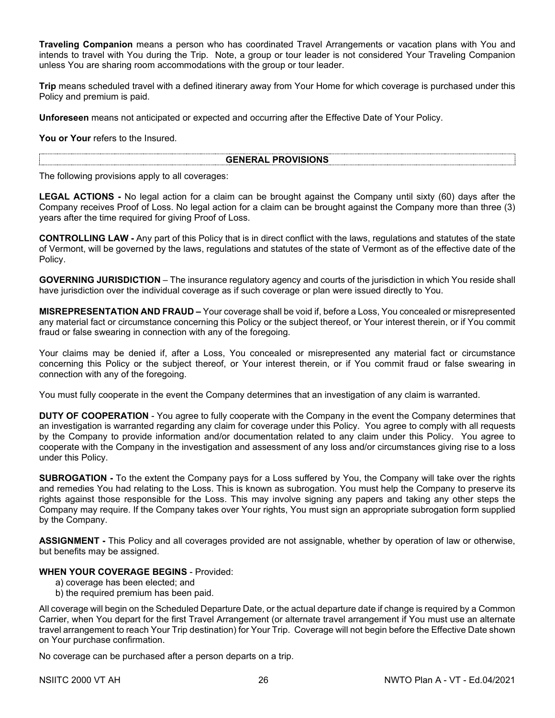**Traveling Companion** means a person who has coordinated Travel Arrangements or vacation plans with You and intends to travel with You during the Trip. Note, a group or tour leader is not considered Your Traveling Companion unless You are sharing room accommodations with the group or tour leader.

**Trip** means scheduled travel with a defined itinerary away from Your Home for which coverage is purchased under this Policy and premium is paid.

**Unforeseen** means not anticipated or expected and occurring after the Effective Date of Your Policy.

**You or Your** refers to the Insured.

### **GENERAL PROVISIONS**

The following provisions apply to all coverages:

**LEGAL ACTIONS -** No legal action for a claim can be brought against the Company until sixty (60) days after the Company receives Proof of Loss. No legal action for a claim can be brought against the Company more than three (3) years after the time required for giving Proof of Loss.

**CONTROLLING LAW -** Any part of this Policy that is in direct conflict with the laws, regulations and statutes of the state of Vermont, will be governed by the laws, regulations and statutes of the state of Vermont as of the effective date of the Policy.

**GOVERNING JURISDICTION** – The insurance regulatory agency and courts of the jurisdiction in which You reside shall have jurisdiction over the individual coverage as if such coverage or plan were issued directly to You.

**MISREPRESENTATION AND FRAUD –** Your coverage shall be void if, before a Loss, You concealed or misrepresented any material fact or circumstance concerning this Policy or the subject thereof, or Your interest therein, or if You commit fraud or false swearing in connection with any of the foregoing.

Your claims may be denied if, after a Loss, You concealed or misrepresented any material fact or circumstance concerning this Policy or the subject thereof, or Your interest therein, or if You commit fraud or false swearing in connection with any of the foregoing.

You must fully cooperate in the event the Company determines that an investigation of any claim is warranted.

**DUTY OF COOPERATION** - You agree to fully cooperate with the Company in the event the Company determines that an investigation is warranted regarding any claim for coverage under this Policy. You agree to comply with all requests by the Company to provide information and/or documentation related to any claim under this Policy. You agree to cooperate with the Company in the investigation and assessment of any loss and/or circumstances giving rise to a loss under this Policy.

**SUBROGATION -** To the extent the Company pays for a Loss suffered by You, the Company will take over the rights and remedies You had relating to the Loss. This is known as subrogation. You must help the Company to preserve its rights against those responsible for the Loss. This may involve signing any papers and taking any other steps the Company may require. If the Company takes over Your rights, You must sign an appropriate subrogation form supplied by the Company.

**ASSIGNMENT -** This Policy and all coverages provided are not assignable, whether by operation of law or otherwise, but benefits may be assigned.

### **WHEN YOUR COVERAGE BEGINS** - Provided:

- a) coverage has been elected; and
- b) the required premium has been paid.

All coverage will begin on the Scheduled Departure Date, or the actual departure date if change is required by a Common Carrier, when You depart for the first Travel Arrangement (or alternate travel arrangement if You must use an alternate travel arrangement to reach Your Trip destination) for Your Trip. Coverage will not begin before the Effective Date shown on Your purchase confirmation.

No coverage can be purchased after a person departs on a trip.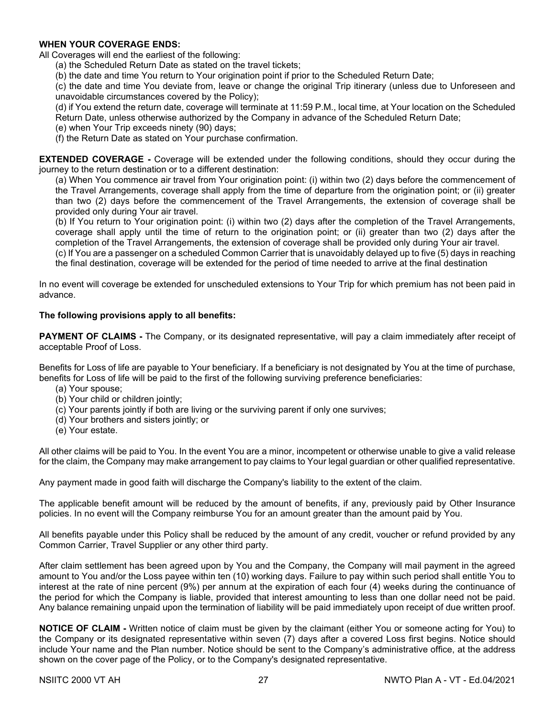# **WHEN YOUR COVERAGE ENDS:**

All Coverages will end the earliest of the following:

(a) the Scheduled Return Date as stated on the travel tickets;

(b) the date and time You return to Your origination point if prior to the Scheduled Return Date;

(c) the date and time You deviate from, leave or change the original Trip itinerary (unless due to Unforeseen and unavoidable circumstances covered by the Policy);

(d) if You extend the return date, coverage will terminate at 11:59 P.M., local time, at Your location on the Scheduled Return Date, unless otherwise authorized by the Company in advance of the Scheduled Return Date;

(e) when Your Trip exceeds ninety (90) days;

(f) the Return Date as stated on Your purchase confirmation.

**EXTENDED COVERAGE -** Coverage will be extended under the following conditions, should they occur during the journey to the return destination or to a different destination:

(a) When You commence air travel from Your origination point: (i) within two (2) days before the commencement of the Travel Arrangements, coverage shall apply from the time of departure from the origination point; or (ii) greater than two (2) days before the commencement of the Travel Arrangements, the extension of coverage shall be provided only during Your air travel.

(b) If You return to Your origination point: (i) within two (2) days after the completion of the Travel Arrangements, coverage shall apply until the time of return to the origination point; or (ii) greater than two (2) days after the completion of the Travel Arrangements, the extension of coverage shall be provided only during Your air travel.

(c) If You are a passenger on a scheduled Common Carrier that is unavoidably delayed up to five (5) days in reaching the final destination, coverage will be extended for the period of time needed to arrive at the final destination

In no event will coverage be extended for unscheduled extensions to Your Trip for which premium has not been paid in advance.

# **The following provisions apply to all benefits:**

**PAYMENT OF CLAIMS -** The Company, or its designated representative, will pay a claim immediately after receipt of acceptable Proof of Loss.

Benefits for Loss of life are payable to Your beneficiary. If a beneficiary is not designated by You at the time of purchase, benefits for Loss of life will be paid to the first of the following surviving preference beneficiaries:

- (a) Your spouse;
- (b) Your child or children jointly;
- (c) Your parents jointly if both are living or the surviving parent if only one survives;
- (d) Your brothers and sisters jointly; or
- (e) Your estate.

All other claims will be paid to You. In the event You are a minor, incompetent or otherwise unable to give a valid release for the claim, the Company may make arrangement to pay claims to Your legal guardian or other qualified representative.

Any payment made in good faith will discharge the Company's liability to the extent of the claim.

The applicable benefit amount will be reduced by the amount of benefits, if any, previously paid by Other Insurance policies. In no event will the Company reimburse You for an amount greater than the amount paid by You.

All benefits payable under this Policy shall be reduced by the amount of any credit, voucher or refund provided by any Common Carrier, Travel Supplier or any other third party.

After claim settlement has been agreed upon by You and the Company, the Company will mail payment in the agreed amount to You and/or the Loss payee within ten (10) working days. Failure to pay within such period shall entitle You to interest at the rate of nine percent (9%) per annum at the expiration of each four (4) weeks during the continuance of the period for which the Company is liable, provided that interest amounting to less than one dollar need not be paid. Any balance remaining unpaid upon the termination of liability will be paid immediately upon receipt of due written proof.

**NOTICE OF CLAIM -** Written notice of claim must be given by the claimant (either You or someone acting for You) to the Company or its designated representative within seven (7) days after a covered Loss first begins. Notice should include Your name and the Plan number. Notice should be sent to the Company's administrative office, at the address shown on the cover page of the Policy, or to the Company's designated representative.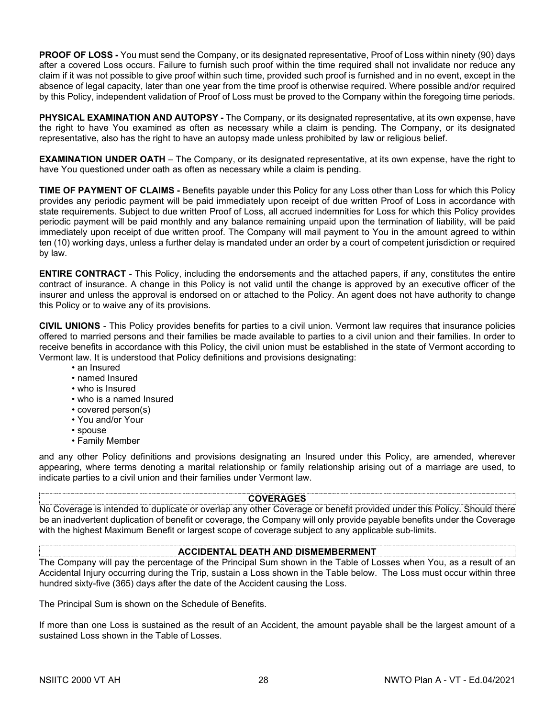**PROOF OF LOSS -** You must send the Company, or its designated representative, Proof of Loss within ninety (90) days after a covered Loss occurs. Failure to furnish such proof within the time required shall not invalidate nor reduce any claim if it was not possible to give proof within such time, provided such proof is furnished and in no event, except in the absence of legal capacity, later than one year from the time proof is otherwise required. Where possible and/or required by this Policy, independent validation of Proof of Loss must be proved to the Company within the foregoing time periods.

**PHYSICAL EXAMINATION AND AUTOPSY -** The Company, or its designated representative, at its own expense, have the right to have You examined as often as necessary while a claim is pending. The Company, or its designated representative, also has the right to have an autopsy made unless prohibited by law or religious belief.

**EXAMINATION UNDER OATH** – The Company, or its designated representative, at its own expense, have the right to have You questioned under oath as often as necessary while a claim is pending.

**TIME OF PAYMENT OF CLAIMS -** Benefits payable under this Policy for any Loss other than Loss for which this Policy provides any periodic payment will be paid immediately upon receipt of due written Proof of Loss in accordance with state requirements. Subject to due written Proof of Loss, all accrued indemnities for Loss for which this Policy provides periodic payment will be paid monthly and any balance remaining unpaid upon the termination of liability, will be paid immediately upon receipt of due written proof. The Company will mail payment to You in the amount agreed to within ten (10) working days, unless a further delay is mandated under an order by a court of competent jurisdiction or required by law.

**ENTIRE CONTRACT** - This Policy, including the endorsements and the attached papers, if any, constitutes the entire contract of insurance. A change in this Policy is not valid until the change is approved by an executive officer of the insurer and unless the approval is endorsed on or attached to the Policy. An agent does not have authority to change this Policy or to waive any of its provisions.

**CIVIL UNIONS** - This Policy provides benefits for parties to a civil union. Vermont law requires that insurance policies offered to married persons and their families be made available to parties to a civil union and their families. In order to receive benefits in accordance with this Policy, the civil union must be established in the state of Vermont according to Vermont law. It is understood that Policy definitions and provisions designating:

- an Insured
- named Insured
- who is Insured
- who is a named Insured
- covered person(s)
- You and/or Your
- spouse
- Family Member

and any other Policy definitions and provisions designating an Insured under this Policy, are amended, wherever appearing, where terms denoting a marital relationship or family relationship arising out of a marriage are used, to indicate parties to a civil union and their families under Vermont law.

### **COVERAGES**

No Coverage is intended to duplicate or overlap any other Coverage or benefit provided under this Policy. Should there be an inadvertent duplication of benefit or coverage, the Company will only provide payable benefits under the Coverage with the highest Maximum Benefit or largest scope of coverage subject to any applicable sub-limits.

# **ACCIDENTAL DEATH AND DISMEMBERMENT**

The Company will pay the percentage of the Principal Sum shown in the Table of Losses when You, as a result of an Accidental Injury occurring during the Trip, sustain a Loss shown in the Table below. The Loss must occur within three hundred sixty-five (365) days after the date of the Accident causing the Loss.

The Principal Sum is shown on the Schedule of Benefits.

If more than one Loss is sustained as the result of an Accident, the amount payable shall be the largest amount of a sustained Loss shown in the Table of Losses.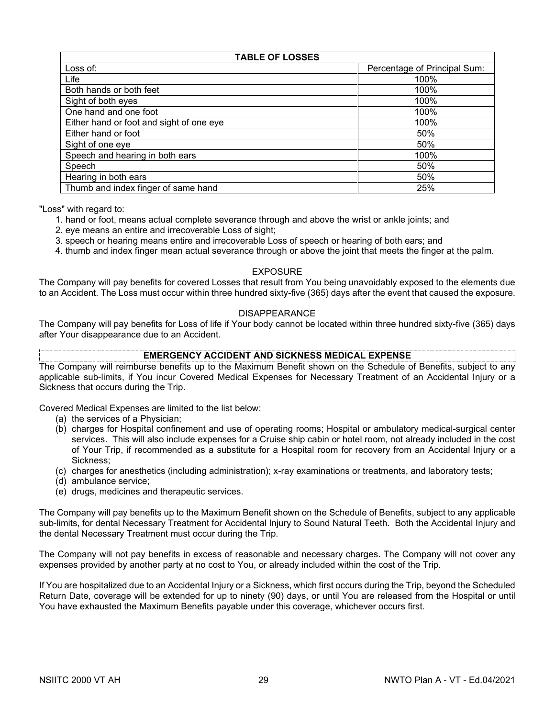# **TABLE OF LOSSES**

| Loss of:                                 | Percentage of Principal Sum: |
|------------------------------------------|------------------------------|
| Life                                     | 100%                         |
| Both hands or both feet                  | 100%                         |
| Sight of both eyes                       | 100%                         |
| One hand and one foot                    | 100%                         |
| Either hand or foot and sight of one eye | 100%                         |
| Either hand or foot                      | 50%                          |
| Sight of one eye                         | 50%                          |
| Speech and hearing in both ears          | 100%                         |
| Speech                                   | 50%                          |
| Hearing in both ears                     | 50%                          |
| Thumb and index finger of same hand      | 25%                          |

"Loss" with regard to:

- 1. hand or foot, means actual complete severance through and above the wrist or ankle joints; and
- 2. eye means an entire and irrecoverable Loss of sight;
- 3. speech or hearing means entire and irrecoverable Loss of speech or hearing of both ears; and
- 4. thumb and index finger mean actual severance through or above the joint that meets the finger at the palm.

# EXPOSURE

The Company will pay benefits for covered Losses that result from You being unavoidably exposed to the elements due to an Accident. The Loss must occur within three hundred sixty-five (365) days after the event that caused the exposure.

#### DISAPPEARANCE

The Company will pay benefits for Loss of life if Your body cannot be located within three hundred sixty-five (365) days after Your disappearance due to an Accident.

# **EMERGENCY ACCIDENT AND SICKNESS MEDICAL EXPENSE**

The Company will reimburse benefits up to the Maximum Benefit shown on the Schedule of Benefits, subject to any applicable sub-limits, if You incur Covered Medical Expenses for Necessary Treatment of an Accidental Injury or a Sickness that occurs during the Trip.

Covered Medical Expenses are limited to the list below:

- (a) the services of a Physician;
- (b) charges for Hospital confinement and use of operating rooms; Hospital or ambulatory medical-surgical center services. This will also include expenses for a Cruise ship cabin or hotel room, not already included in the cost of Your Trip, if recommended as a substitute for a Hospital room for recovery from an Accidental Injury or a Sickness;
- (c) charges for anesthetics (including administration); x-ray examinations or treatments, and laboratory tests;
- (d) ambulance service;
- (e) drugs, medicines and therapeutic services.

The Company will pay benefits up to the Maximum Benefit shown on the Schedule of Benefits, subject to any applicable sub-limits, for dental Necessary Treatment for Accidental Injury to Sound Natural Teeth. Both the Accidental Injury and the dental Necessary Treatment must occur during the Trip.

The Company will not pay benefits in excess of reasonable and necessary charges. The Company will not cover any expenses provided by another party at no cost to You, or already included within the cost of the Trip.

If You are hospitalized due to an Accidental Injury or a Sickness, which first occurs during the Trip, beyond the Scheduled Return Date, coverage will be extended for up to ninety (90) days, or until You are released from the Hospital or until You have exhausted the Maximum Benefits payable under this coverage, whichever occurs first.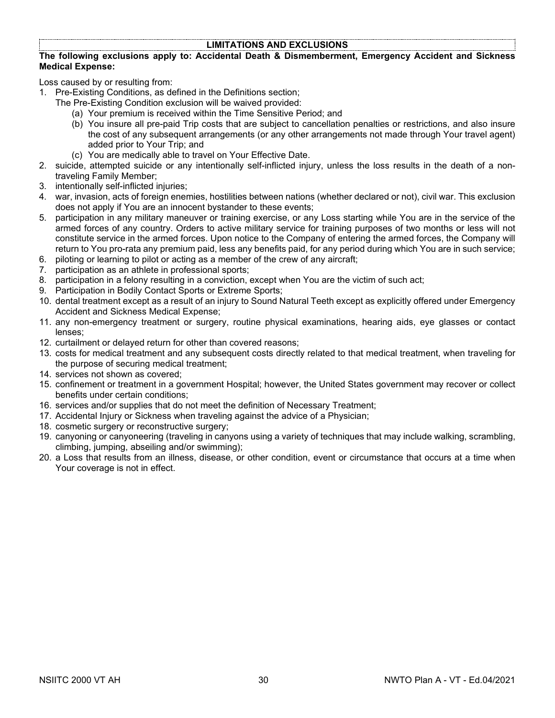# **LIMITATIONS AND EXCLUSIONS**

### **The following exclusions apply to: Accidental Death & Dismemberment, Emergency Accident and Sickness Medical Expense:**

Loss caused by or resulting from:

- 1. Pre-Existing Conditions, as defined in the Definitions section;
	- The Pre-Existing Condition exclusion will be waived provided:
		- (a) Your premium is received within the Time Sensitive Period; and
		- (b) You insure all pre-paid Trip costs that are subject to cancellation penalties or restrictions, and also insure the cost of any subsequent arrangements (or any other arrangements not made through Your travel agent) added prior to Your Trip; and
		- (c) You are medically able to travel on Your Effective Date.
- 2. suicide, attempted suicide or any intentionally self-inflicted injury, unless the loss results in the death of a nontraveling Family Member;
- 3. intentionally self-inflicted injuries;
- 4. war, invasion, acts of foreign enemies, hostilities between nations (whether declared or not), civil war. This exclusion does not apply if You are an innocent bystander to these events;
- 5. participation in any military maneuver or training exercise, or any Loss starting while You are in the service of the armed forces of any country. Orders to active military service for training purposes of two months or less will not constitute service in the armed forces. Upon notice to the Company of entering the armed forces, the Company will return to You pro-rata any premium paid, less any benefits paid, for any period during which You are in such service;
- 6. piloting or learning to pilot or acting as a member of the crew of any aircraft;
- 7. participation as an athlete in professional sports;
- 8. participation in a felony resulting in a conviction, except when You are the victim of such act;
- 9. Participation in Bodily Contact Sports or Extreme Sports;
- 10. dental treatment except as a result of an injury to Sound Natural Teeth except as explicitly offered under Emergency Accident and Sickness Medical Expense;
- 11. any non-emergency treatment or surgery, routine physical examinations, hearing aids, eye glasses or contact lenses;
- 12. curtailment or delayed return for other than covered reasons;
- 13. costs for medical treatment and any subsequent costs directly related to that medical treatment, when traveling for the purpose of securing medical treatment;
- 14. services not shown as covered;
- 15. confinement or treatment in a government Hospital; however, the United States government may recover or collect benefits under certain conditions;
- 16. services and/or supplies that do not meet the definition of Necessary Treatment;
- 17. Accidental Injury or Sickness when traveling against the advice of a Physician;
- 18. cosmetic surgery or reconstructive surgery;
- 19. canyoning or canyoneering (traveling in canyons using a variety of techniques that may include walking, scrambling, climbing, jumping, abseiling and/or swimming);
- 20. a Loss that results from an illness, disease, or other condition, event or circumstance that occurs at a time when Your coverage is not in effect.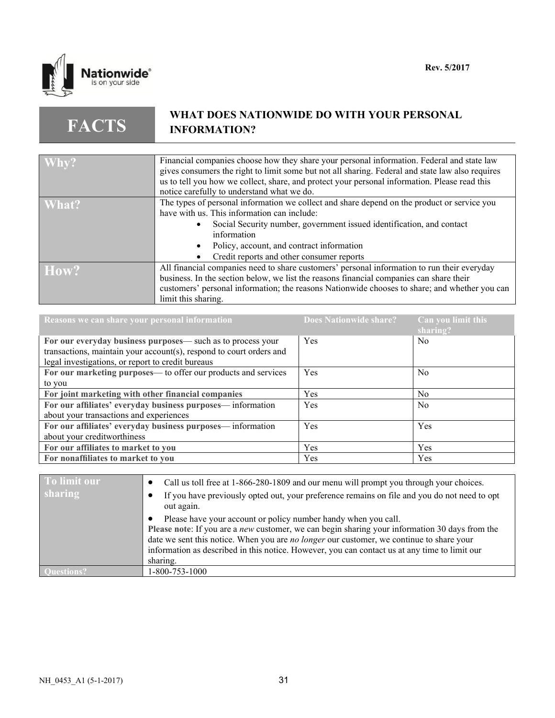

**FACTS**

# **WHAT DOES NATIONWIDE DO WITH YOUR PERSONAL INFORMATION?**

| Why?  | Financial companies choose how they share your personal information. Federal and state law       |
|-------|--------------------------------------------------------------------------------------------------|
|       | gives consumers the right to limit some but not all sharing. Federal and state law also requires |
|       |                                                                                                  |
|       | us to tell you how we collect, share, and protect your personal information. Please read this    |
|       | notice carefully to understand what we do.                                                       |
| What? | The types of personal information we collect and share depend on the product or service you      |
|       | have with us. This information can include:                                                      |
|       | Social Security number, government issued identification, and contact                            |
|       | information                                                                                      |
|       | Policy, account, and contract information                                                        |
|       | Credit reports and other consumer reports                                                        |
| How?  | All financial companies need to share customers' personal information to run their everyday      |
|       | business. In the section below, we list the reasons financial companies can share their          |
|       |                                                                                                  |
|       | customers' personal information; the reasons Nationwide chooses to share; and whether you can    |
|       | limit this sharing.                                                                              |

| Reasons we can share your personal information                      | <b>Does Nationwide share?</b> | Can you limit this<br>sharing? |
|---------------------------------------------------------------------|-------------------------------|--------------------------------|
| For our everyday business purposes— such as to process your         | Yes                           | N <sub>0</sub>                 |
| transactions, maintain your account(s), respond to court orders and |                               |                                |
| legal investigations, or report to credit bureaus                   |                               |                                |
| For our marketing purposes— to offer our products and services      | Yes                           | N <sub>0</sub>                 |
| to you                                                              |                               |                                |
| For joint marketing with other financial companies                  | Yes                           | N <sub>0</sub>                 |
| For our affiliates' everyday business purposes— information         | Yes                           | N <sub>0</sub>                 |
| about your transactions and experiences                             |                               |                                |
| For our affiliates' everyday business purposes-information          | Yes                           | Yes                            |
| about your creditworthiness                                         |                               |                                |
| For our affiliates to market to you                                 | Yes                           | Yes                            |
| For nonaffiliates to market to you                                  | Yes                           | Yes                            |

| To limit our | Call us toll free at 1-866-280-1809 and our menu will prompt you through your choices.                                                                                                                                                                                                                                                                                           |
|--------------|----------------------------------------------------------------------------------------------------------------------------------------------------------------------------------------------------------------------------------------------------------------------------------------------------------------------------------------------------------------------------------|
| sharing      | If you have previously opted out, your preference remains on file and you do not need to opt<br>out again.                                                                                                                                                                                                                                                                       |
|              | Please have your account or policy number handy when you call.<br>Please note: If you are a <i>new</i> customer, we can begin sharing your information 30 days from the<br>date we sent this notice. When you are no longer our customer, we continue to share your<br>information as described in this notice. However, you can contact us at any time to limit our<br>sharing. |
|              | 1-800-753-1000                                                                                                                                                                                                                                                                                                                                                                   |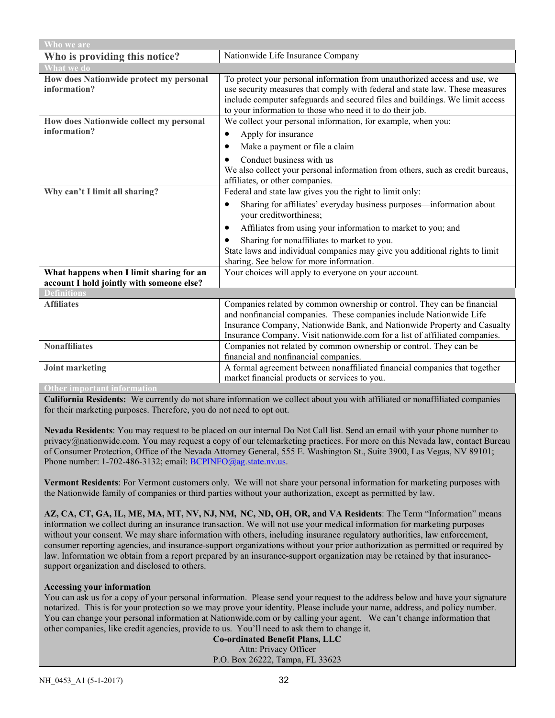| Who we are                                                                            |                                                                                                                                                                                                                                                                                                           |  |
|---------------------------------------------------------------------------------------|-----------------------------------------------------------------------------------------------------------------------------------------------------------------------------------------------------------------------------------------------------------------------------------------------------------|--|
| Who is providing this notice?                                                         | Nationwide Life Insurance Company                                                                                                                                                                                                                                                                         |  |
| <b>What we do</b>                                                                     |                                                                                                                                                                                                                                                                                                           |  |
| How does Nationwide protect my personal<br>information?                               | To protect your personal information from unauthorized access and use, we<br>use security measures that comply with federal and state law. These measures<br>include computer safeguards and secured files and buildings. We limit access<br>to your information to those who need it to do their job.    |  |
| How does Nationwide collect my personal                                               | We collect your personal information, for example, when you:                                                                                                                                                                                                                                              |  |
| information?                                                                          | Apply for insurance<br>$\bullet$                                                                                                                                                                                                                                                                          |  |
|                                                                                       | Make a payment or file a claim<br>٠                                                                                                                                                                                                                                                                       |  |
|                                                                                       | Conduct business with us<br>We also collect your personal information from others, such as credit bureaus,<br>affiliates, or other companies.                                                                                                                                                             |  |
| Why can't I limit all sharing?                                                        | Federal and state law gives you the right to limit only:                                                                                                                                                                                                                                                  |  |
|                                                                                       | Sharing for affiliates' everyday business purposes—information about<br>٠<br>your creditworthiness;                                                                                                                                                                                                       |  |
|                                                                                       | Affiliates from using your information to market to you; and<br>$\bullet$                                                                                                                                                                                                                                 |  |
|                                                                                       | Sharing for nonaffiliates to market to you.<br>$\bullet$                                                                                                                                                                                                                                                  |  |
|                                                                                       | State laws and individual companies may give you additional rights to limit<br>sharing. See below for more information.                                                                                                                                                                                   |  |
| What happens when I limit sharing for an<br>account I hold jointly with someone else? | Your choices will apply to everyone on your account.                                                                                                                                                                                                                                                      |  |
| <b>Definitions</b>                                                                    |                                                                                                                                                                                                                                                                                                           |  |
| <b>Affiliates</b>                                                                     | Companies related by common ownership or control. They can be financial<br>and nonfinancial companies. These companies include Nationwide Life<br>Insurance Company, Nationwide Bank, and Nationwide Property and Casualty<br>Insurance Company. Visit nationwide.com for a list of affiliated companies. |  |
| <b>Nonaffiliates</b>                                                                  | Companies not related by common ownership or control. They can be                                                                                                                                                                                                                                         |  |
|                                                                                       | financial and nonfinancial companies.                                                                                                                                                                                                                                                                     |  |
| <b>Joint marketing</b>                                                                | A formal agreement between nonaffiliated financial companies that together                                                                                                                                                                                                                                |  |
|                                                                                       | market financial products or services to you.                                                                                                                                                                                                                                                             |  |
| <b>Other important information</b>                                                    |                                                                                                                                                                                                                                                                                                           |  |

**California Residents:** We currently do not share information we collect about you with affiliated or nonaffiliated companies for their marketing purposes. Therefore, you do not need to opt out.

**Nevada Residents**: You may request to be placed on our internal Do Not Call list. Send an email with your phone number to privacy@nationwide.com. You may request a copy of our telemarketing practices. For more on this Nevada law, contact Bureau of Consumer Protection, Office of the Nevada Attorney General, 555 E. Washington St., Suite 3900, Las Vegas, NV 89101; Phone number: 1-702-486-3132; email[: BCPINFO@ag.state.nv.us.](mailto:BCPINFO@ag.state.nv.us)

**Vermont Residents**: For Vermont customers only. We will not share your personal information for marketing purposes with the Nationwide family of companies or third parties without your authorization, except as permitted by law.

**AZ, CA, CT, GA, IL, ME, MA, MT, NV, NJ, NM, NC, ND, OH, OR, and VA Residents**: The Term "Information" means information we collect during an insurance transaction. We will not use your medical information for marketing purposes without your consent. We may share information with others, including insurance regulatory authorities, law enforcement, consumer reporting agencies, and insurance-support organizations without your prior authorization as permitted or required by law. Information we obtain from a report prepared by an insurance-support organization may be retained by that insurancesupport organization and disclosed to others.

### **Accessing your information**

You can ask us for a copy of your personal information. Please send your request to the address below and have your signature notarized. This is for your protection so we may prove your identity. Please include your name, address, and policy number. You can change your personal information at Nationwide.com or by calling your agent. We can't change information that other companies, like credit agencies, provide to us. You'll need to ask them to change it.

**Co-ordinated Benefit Plans, LLC** Attn: Privacy Officer P.O. Box 26222, Tampa, FL 33623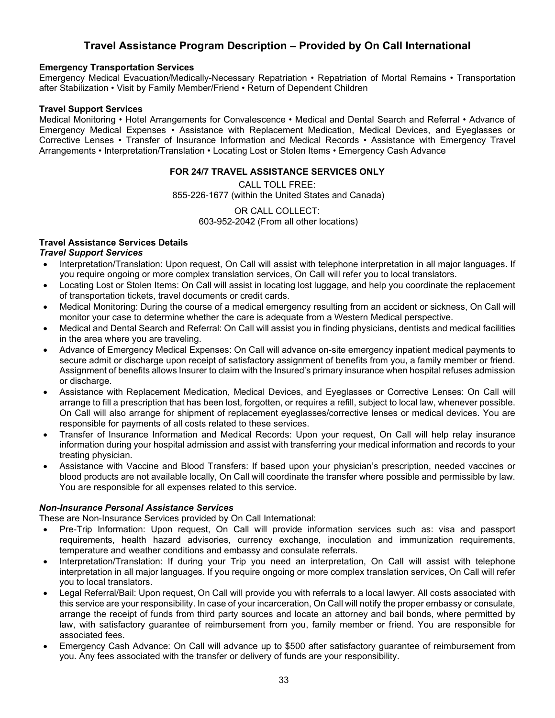# **Travel Assistance Program Description – Provided by On Call International**

# **Emergency Transportation Services**

Emergency Medical Evacuation/Medically-Necessary Repatriation • Repatriation of Mortal Remains • Transportation after Stabilization • Visit by Family Member/Friend • Return of Dependent Children

# **Travel Support Services**

Medical Monitoring • Hotel Arrangements for Convalescence • Medical and Dental Search and Referral • Advance of Emergency Medical Expenses • Assistance with Replacement Medication, Medical Devices, and Eyeglasses or Corrective Lenses • Transfer of Insurance Information and Medical Records • Assistance with Emergency Travel Arrangements • Interpretation/Translation • Locating Lost or Stolen Items • Emergency Cash Advance

# **FOR 24/7 TRAVEL ASSISTANCE SERVICES ONLY**

CALL TOLL FREE: 855-226-1677 (within the United States and Canada)

> OR CALL COLLECT: 603-952-2042 (From all other locations)

# **Travel Assistance Services Details**

# *Travel Support Services*

- Interpretation/Translation: Upon request, On Call will assist with telephone interpretation in all major languages. If you require ongoing or more complex translation services, On Call will refer you to local translators.
- Locating Lost or Stolen Items: On Call will assist in locating lost luggage, and help you coordinate the replacement of transportation tickets, travel documents or credit cards.
- Medical Monitoring: During the course of a medical emergency resulting from an accident or sickness, On Call will monitor your case to determine whether the care is adequate from a Western Medical perspective.
- Medical and Dental Search and Referral: On Call will assist you in finding physicians, dentists and medical facilities in the area where you are traveling.
- Advance of Emergency Medical Expenses: On Call will advance on-site emergency inpatient medical payments to secure admit or discharge upon receipt of satisfactory assignment of benefits from you, a family member or friend. Assignment of benefits allows Insurer to claim with the Insured's primary insurance when hospital refuses admission or discharge.
- Assistance with Replacement Medication, Medical Devices, and Eyeglasses or Corrective Lenses: On Call will arrange to fill a prescription that has been lost, forgotten, or requires a refill, subject to local law, whenever possible. On Call will also arrange for shipment of replacement eyeglasses/corrective lenses or medical devices. You are responsible for payments of all costs related to these services.
- Transfer of Insurance Information and Medical Records: Upon your request, On Call will help relay insurance information during your hospital admission and assist with transferring your medical information and records to your treating physician.
- Assistance with Vaccine and Blood Transfers: If based upon your physician's prescription, needed vaccines or blood products are not available locally, On Call will coordinate the transfer where possible and permissible by law. You are responsible for all expenses related to this service.

# *Non-Insurance Personal Assistance Services*

These are Non-Insurance Services provided by On Call International:

- Pre-Trip Information: Upon request, On Call will provide information services such as: visa and passport requirements, health hazard advisories, currency exchange, inoculation and immunization requirements, temperature and weather conditions and embassy and consulate referrals.
- Interpretation/Translation: If during your Trip you need an interpretation, On Call will assist with telephone interpretation in all major languages. If you require ongoing or more complex translation services, On Call will refer you to local translators.
- Legal Referral/Bail: Upon request, On Call will provide you with referrals to a local lawyer. All costs associated with this service are your responsibility. In case of your incarceration, On Call will notify the proper embassy or consulate, arrange the receipt of funds from third party sources and locate an attorney and bail bonds, where permitted by law, with satisfactory guarantee of reimbursement from you, family member or friend. You are responsible for associated fees.
- Emergency Cash Advance: On Call will advance up to \$500 after satisfactory guarantee of reimbursement from you. Any fees associated with the transfer or delivery of funds are your responsibility.